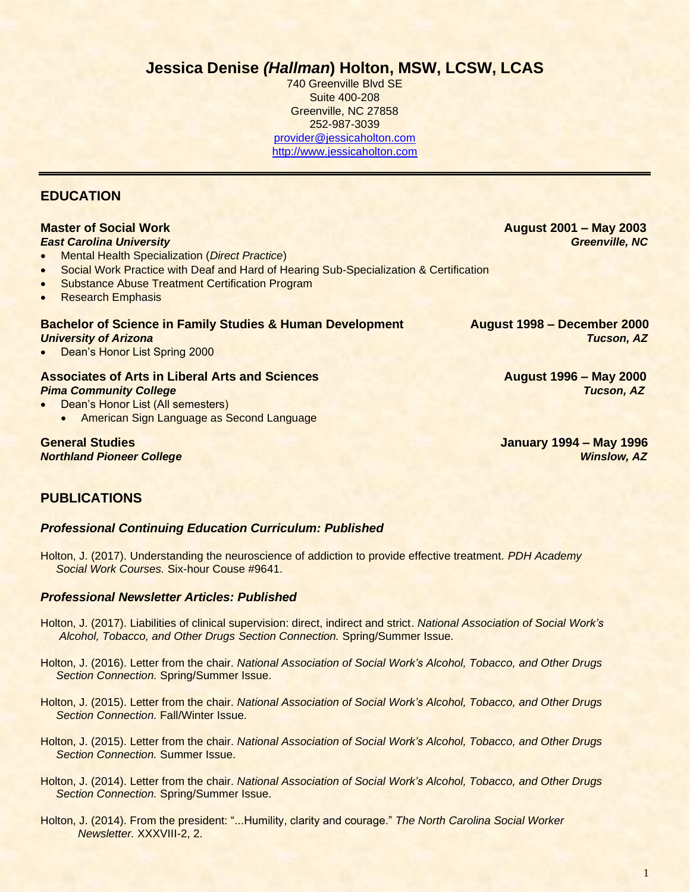## **Jessica Denise** *(Hallman***) Holton, MSW, LCSW, LCAS**

740 Greenville Blvd SE Suite 400-208 Greenville, NC 27858 252-987-3039 [provider@jessicaholton.com](mailto:provider@jessicaholton.com) [http://www.jessicaholton.com](http://www.jessicaholton.com/)

## **EDUCATION**

## **Master of Social Work August 2001 – May 2003**

- *East Carolina University Greenville, NC*
- Mental Health Specialization (*Direct Practice*)
- Social Work Practice with Deaf and Hard of Hearing Sub-Specialization & Certification
- **Substance Abuse Treatment Certification Program**
- Research Emphasis

### **Bachelor of Science in Family Studies & Human Development August 1998 – December 2000** *University of Arizona Tucson, AZ*

• Dean's Honor List Spring 2000

#### **Associates of Arts in Liberal Arts and Sciences August 1996 – May 2000** *Pima Community College Tucson, AZ*

- Dean's Honor List (All semesters)
	- American Sign Language as Second Language

**General Studies January 1994 – May 1996** *Northland Pioneer College Winslow, AZ*

## **PUBLICATIONS**

### *Professional Continuing Education Curriculum: Published*

Holton, J. (2017). Understanding the neuroscience of addiction to provide effective treatment. *PDH Academy Social Work Courses.* Six-hour Couse #9641.

#### *Professional Newsletter Articles: Published*

- Holton, J. (2017). Liabilities of clinical supervision: direct, indirect and strict. *National Association of Social Work's Alcohol, Tobacco, and Other Drugs Section Connection.* Spring/Summer Issue.
- Holton, J. (2016). Letter from the chair. *National Association of Social Work's Alcohol, Tobacco, and Other Drugs Section Connection.* Spring/Summer Issue.
- Holton, J. (2015). Letter from the chair. *National Association of Social Work's Alcohol, Tobacco, and Other Drugs Section Connection.* Fall/Winter Issue.
- Holton, J. (2015). Letter from the chair. *National Association of Social Work's Alcohol, Tobacco, and Other Drugs Section Connection.* Summer Issue.
- Holton, J. (2014). Letter from the chair. *National Association of Social Work's Alcohol, Tobacco, and Other Drugs Section Connection.* Spring/Summer Issue.
- Holton, J. (2014). From the president: "...Humility, clarity and courage." *The North Carolina Social Worker Newsletter.* XXXVIII-2, 2.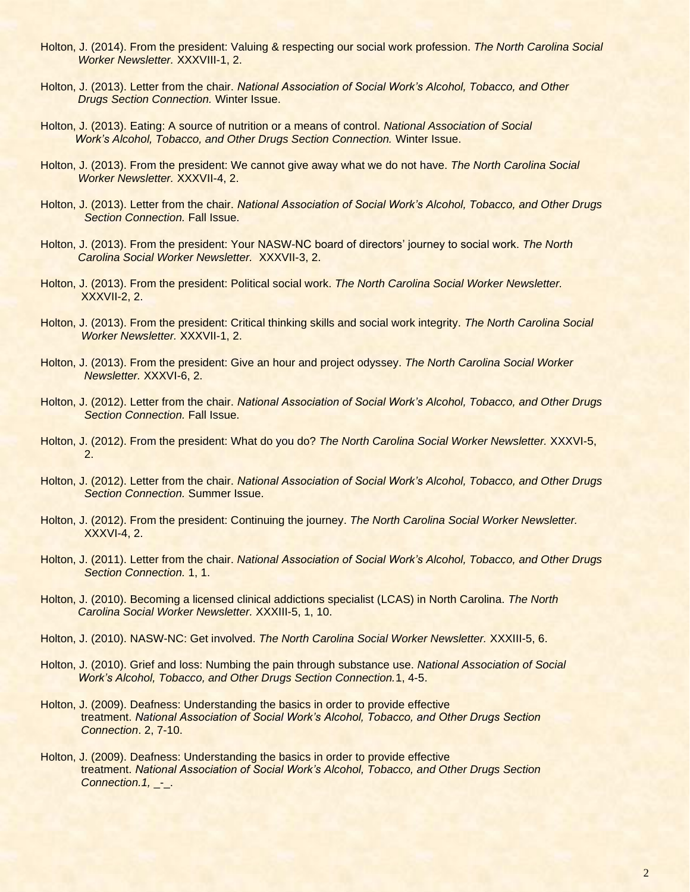- Holton, J. (2014). From the president: Valuing & respecting our social work profession. *The North Carolina Social Worker Newsletter.* XXXVIII-1, 2.
- Holton, J. (2013). Letter from the chair. *National Association of Social Work's Alcohol, Tobacco, and Other Drugs Section Connection.* Winter Issue.
- Holton, J. (2013). Eating: A source of nutrition or a means of control. *National Association of Social Work's Alcohol, Tobacco, and Other Drugs Section Connection.* Winter Issue.
- Holton, J. (2013). From the president: We cannot give away what we do not have. *The North Carolina Social Worker Newsletter.* XXXVII-4, 2.
- Holton, J. (2013). Letter from the chair. *National Association of Social Work's Alcohol, Tobacco, and Other Drugs Section Connection.* Fall Issue.
- Holton, J. (2013). From the president: Your NASW-NC board of directors' journey to social work. *The North Carolina Social Worker Newsletter.* XXXVII-3, 2.
- Holton, J. (2013). From the president: Political social work. *The North Carolina Social Worker Newsletter.* XXXVII-2, 2.
- Holton, J. (2013). From the president: Critical thinking skills and social work integrity. *The North Carolina Social Worker Newsletter.* XXXVII-1, 2.
- Holton, J. (2013). From the president: Give an hour and project odyssey. *The North Carolina Social Worker Newsletter.* XXXVI-6, 2.
- Holton, J. (2012). Letter from the chair. *National Association of Social Work's Alcohol, Tobacco, and Other Drugs Section Connection.* Fall Issue.
- Holton, J. (2012). From the president: What do you do? *The North Carolina Social Worker Newsletter.* XXXVI-5, 2.
- Holton, J. (2012). Letter from the chair. *National Association of Social Work's Alcohol, Tobacco, and Other Drugs Section Connection.* Summer Issue.
- Holton, J. (2012). From the president: Continuing the journey. *The North Carolina Social Worker Newsletter.* XXXVI-4, 2.
- Holton, J. (2011). Letter from the chair. *National Association of Social Work's Alcohol, Tobacco, and Other Drugs Section Connection.* 1, 1.
- Holton, J. (2010). Becoming a licensed clinical addictions specialist (LCAS) in North Carolina. *The North Carolina Social Worker Newsletter.* XXXIII-5, 1, 10.
- Holton, J. (2010). NASW-NC: Get involved. *The North Carolina Social Worker Newsletter.* XXXIII-5, 6.
- Holton, J. (2010). Grief and loss: Numbing the pain through substance use. *National Association of Social Work's Alcohol, Tobacco, and Other Drugs Section Connection.*1, 4-5.
- Holton, J. (2009). Deafness: Understanding the basics in order to provide effective treatment. *National Association of Social Work's Alcohol, Tobacco, and Other Drugs Section Connection*. 2, 7-10.
- Holton, J. (2009). Deafness: Understanding the basics in order to provide effective treatment. *National Association of Social Work's Alcohol, Tobacco, and Other Drugs Section Connection.1,* \_-\_.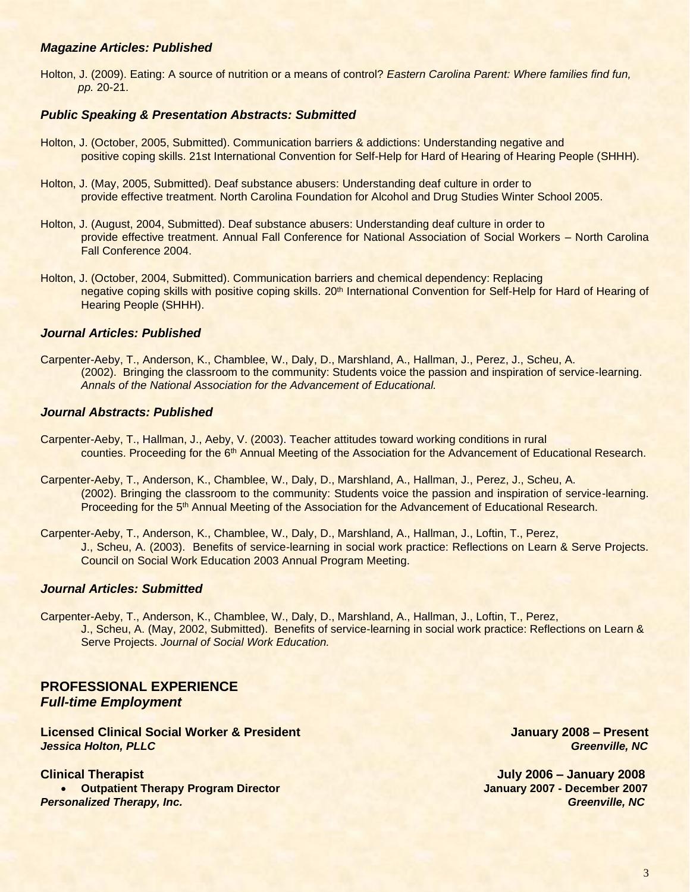#### *Magazine Articles: Published*

Holton, J. (2009). Eating: A source of nutrition or a means of control? *Eastern Carolina Parent: Where families find fun, pp.* 20-21.

#### *Public Speaking & Presentation Abstracts: Submitted*

- Holton, J. (October, 2005, Submitted). Communication barriers & addictions: Understanding negative and positive coping skills. 21st International Convention for Self-Help for Hard of Hearing of Hearing People (SHHH).
- Holton, J. (May, 2005, Submitted). Deaf substance abusers: Understanding deaf culture in order to provide effective treatment. North Carolina Foundation for Alcohol and Drug Studies Winter School 2005.
- Holton, J. (August, 2004, Submitted). Deaf substance abusers: Understanding deaf culture in order to provide effective treatment. Annual Fall Conference for National Association of Social Workers – North Carolina Fall Conference 2004.
- Holton, J. (October, 2004, Submitted). Communication barriers and chemical dependency: Replacing negative coping skills with positive coping skills. 20<sup>th</sup> International Convention for Self-Help for Hard of Hearing of Hearing People (SHHH).

#### *Journal Articles: Published*

Carpenter-Aeby, T., Anderson, K., Chamblee, W., Daly, D., Marshland, A., Hallman, J., Perez, J., Scheu, A. (2002). Bringing the classroom to the community: Students voice the passion and inspiration of service-learning. *Annals of the National Association for the Advancement of Educational.*

#### *Journal Abstracts: Published*

- Carpenter-Aeby, T., Hallman, J., Aeby, V. (2003). Teacher attitudes toward working conditions in rural counties. Proceeding for the 6th Annual Meeting of the Association for the Advancement of Educational Research.
- Carpenter-Aeby, T., Anderson, K., Chamblee, W., Daly, D., Marshland, A., Hallman, J., Perez, J., Scheu, A. (2002). Bringing the classroom to the community: Students voice the passion and inspiration of service-learning. Proceeding for the 5<sup>th</sup> Annual Meeting of the Association for the Advancement of Educational Research.
- Carpenter-Aeby, T., Anderson, K., Chamblee, W., Daly, D., Marshland, A., Hallman, J., Loftin, T., Perez, J., Scheu, A. (2003). Benefits of service-learning in social work practice: Reflections on Learn & Serve Projects. Council on Social Work Education 2003 Annual Program Meeting.

#### *Journal Articles: Submitted*

Carpenter-Aeby, T., Anderson, K., Chamblee, W., Daly, D., Marshland, A., Hallman, J., Loftin, T., Perez, J., Scheu, A. (May, 2002, Submitted). Benefits of service-learning in social work practice: Reflections on Learn & Serve Projects. *Journal of Social Work Education.*

## **PROFESSIONAL EXPERIENCE**  *Full-time Employment*

**Licensed Clinical Social Worker & President January 2008 – Present** *Jessica Holton, PLLC Greenville, NC*

**Clinical Therapist July 2006 – January 2008** • **Outpatient Therapy Program Director January 2007 - December 2007** *Personalized Therapy, Inc. Greenville, NC*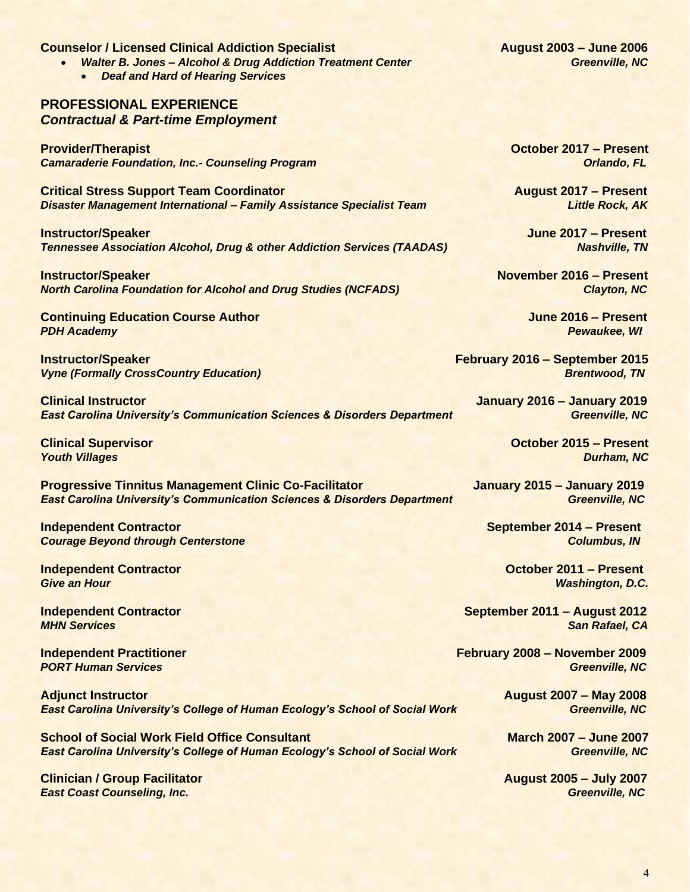#### **Counselor / Licensed Clinical Addiction Specialist August 2003 – June 2006**

- *Walter B. Jones – Alcohol & Drug Addiction Treatment Center Greenville, NC*
	- *Deaf and Hard of Hearing Services*

## **PROFESSIONAL EXPERIENCE**  *Contractual & Part-time Employment*

**Provider/Therapist October 2017 – Present Camaraderie Foundation, Inc.- Counseling Program Orlando, FL Orlando, FL Orlando, FL** 

**Critical Stress Support Team Coordinator August 2017 – Present** *Disaster Management International – Family Assistance Specialist Team Little Rock, AK*

**Instructor/Speaker June 2017 – Present Tennessee Association Alcohol, Drug & other Addiction Services (TAADAS) Nashville, TN** 

**Instructor/Speaker November 2016 – Present** *North Carolina Foundation for Alcohol and Drug Studies (NCFADS) Clayton, NC*

**Continuing Education Course Author June 2016 – Present** *PDH Academy Pewaukee, WI*

**Instructor/Speaker February 2016 – September 2015** *Vyne (Formally CrossCountry Education)* Brentwood, TN

**Clinical Instructor January 2016 – January 2019 East Carolina University's Communication Sciences & Disorders Department Greenville, NC** 

**Progressive Tinnitus Management Clinic Co-Facilitator Manuary 2015 – January 2019** *East Carolina University's Communication Sciences & Disorders Department Greenville, NC*

**Independent Contractor September 2014 – Present Courage Beyond through Centerstone Columbus, IN Columbus, IN** 

**Independent Contractor October 2011 – Present** *Give an Hour Washington, D.C.*

**Adjunct Instructor August 2007 – May 2008 East Carolina University's College of Human Ecology's School of Social Work** 

**School of Social Work Field Office Consultant March 2007 – June 2007**<br>East Carolina University's College of Human Ecology's School of Social Work **Fig. 1999** Greenville, NC **East Carolina University's College of Human Ecology's School of Social Work** 

**Clinician / Group Facilitator August 2005 – July 2007** *East Coast Counseling, Inc.* Greenville, NC

**Clinical Supervisor October 2015 – Present** *Youth Villages Durham, NC*

**Independent Contractor September 2011 – August 2012** *MHN Services* San Rafael, CA

**Independent Practitioner February 2008 – November 2009** *PORT Human Services* Greenville, NC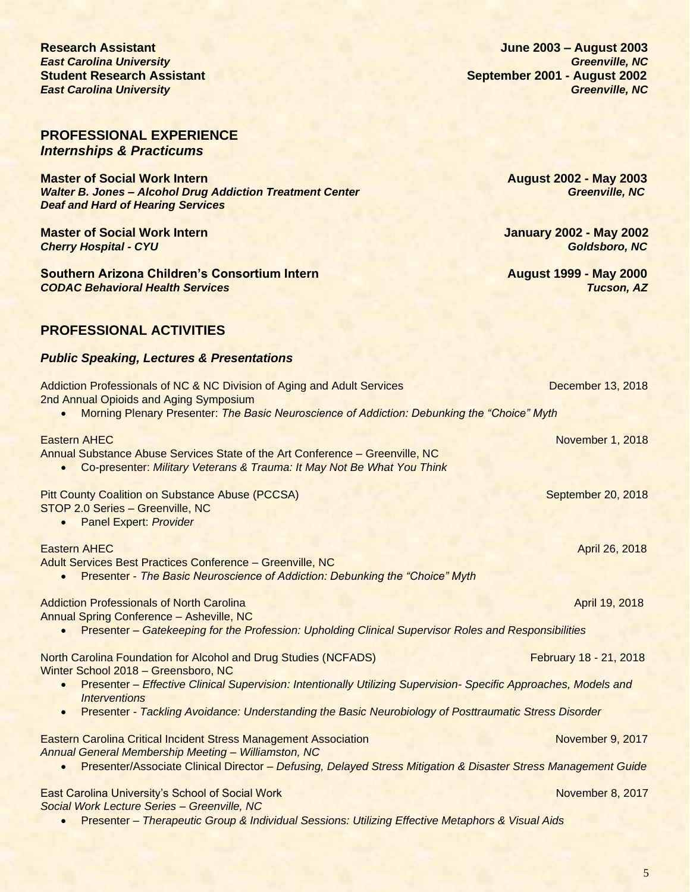5

## **PROFESSIONAL EXPERIENCE**  *Internships & Practicums*

**Master of Social Work Intern Master of Social Work Intern August 2002 - May 2003**<br>Walter B. Jones – Alcohol Drug Addiction Treatment Center **August 2002 - May 2003 Walter B. Jones - Alcohol Drug Addiction Treatment Center** *Deaf and Hard of Hearing Services*

**Master of Social Work Intern January 2002 - May 2002** *Cherry Hospital - CYU Goldsboro, NC*

**Southern Arizona Children's Consortium Intern August 1999 - May 2000** *CODAC Behavioral Health Services Tucson, AZ*

## **PROFESSIONAL ACTIVITIES**

## *Public Speaking, Lectures & Presentations*

| Addiction Professionals of NC & NC Division of Aging and Adult Services<br>2nd Annual Opioids and Aging Symposium                                                                                                                                  | December 13, 2018      |
|----------------------------------------------------------------------------------------------------------------------------------------------------------------------------------------------------------------------------------------------------|------------------------|
| Morning Plenary Presenter: The Basic Neuroscience of Addiction: Debunking the "Choice" Myth                                                                                                                                                        |                        |
| <b>Eastern AHEC</b><br>Annual Substance Abuse Services State of the Art Conference - Greenville, NC<br>Co-presenter: Military Veterans & Trauma: It May Not Be What You Think                                                                      | November 1, 2018       |
| <b>Pitt County Coalition on Substance Abuse (PCCSA)</b><br>STOP 2.0 Series - Greenville, NC<br><b>Panel Expert: Provider</b>                                                                                                                       | September 20, 2018     |
| <b>Eastern AHEC</b><br>Adult Services Best Practices Conference - Greenville, NC<br>Presenter - The Basic Neuroscience of Addiction: Debunking the "Choice" Myth                                                                                   | April 26, 2018         |
| <b>Addiction Professionals of North Carolina</b><br>Annual Spring Conference - Asheville, NC<br>Presenter - Gatekeeping for the Profession: Upholding Clinical Supervisor Roles and Responsibilities<br>$\bullet$                                  | April 19, 2018         |
| North Carolina Foundation for Alcohol and Drug Studies (NCFADS)<br>Winter School 2018 - Greensboro, NC<br>Presenter - Effective Clinical Supervision: Intentionally Utilizing Supervision- Specific Approaches, Models and<br><b>Interventions</b> | February 18 - 21, 2018 |
| Presenter - Tackling Avoidance: Understanding the Basic Neurobiology of Posttraumatic Stress Disorder<br>$\bullet$                                                                                                                                 |                        |
| <b>Eastern Carolina Critical Incident Stress Management Association</b><br>Annual General Membership Meeting - Williamston, NC<br>Presenter/Associate Clinical Director - Defusing, Delayed Stress Mitigation & Disaster Stress Management Guide   | November 9, 2017       |
|                                                                                                                                                                                                                                                    |                        |
| East Carolina University's School of Social Work<br>Social Work Lecture Series - Greenville, NC                                                                                                                                                    | November 8, 2017       |

• Presenter – *Therapeutic Group & Individual Sessions: Utilizing Effective Metaphors & Visual Aids*

**Research Assistant June 2003 – August 2003 East Carolina University Community Community Community Community Community Community Community Community Community Student Research Assistant Contract Contract Contract Contract Contract Contract Contract Contract Contract Contract Contract Contract Contract Contract Contract Contract Contract Contract Contract Contract Contract Contr** *East Carolina University* Greenville, NC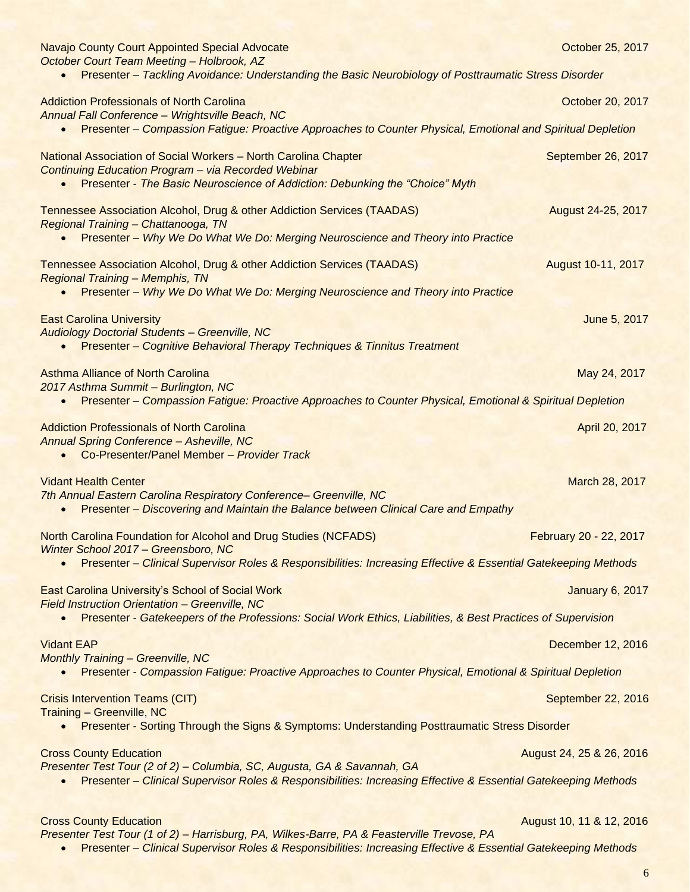| <b>Navajo County Court Appointed Special Advocate</b><br>October Court Team Meeting - Holbrook, AZ                                                                                                   | October 25, 2017         |
|------------------------------------------------------------------------------------------------------------------------------------------------------------------------------------------------------|--------------------------|
| Presenter - Tackling Avoidance: Understanding the Basic Neurobiology of Posttraumatic Stress Disorder                                                                                                |                          |
| <b>Addiction Professionals of North Carolina</b><br>Annual Fall Conference - Wrightsville Beach, NC                                                                                                  | October 20, 2017         |
| Presenter – Compassion Fatigue: Proactive Approaches to Counter Physical, Emotional and Spiritual Depletion                                                                                          |                          |
| National Association of Social Workers - North Carolina Chapter<br><b>Continuing Education Program - via Recorded Webinar</b>                                                                        | September 26, 2017       |
| Presenter - The Basic Neuroscience of Addiction: Debunking the "Choice" Myth                                                                                                                         |                          |
| Tennessee Association Alcohol, Drug & other Addiction Services (TAADAS)<br>Regional Training - Chattanooga, TN<br>Presenter - Why We Do What We Do: Merging Neuroscience and Theory into Practice    | August 24-25, 2017       |
|                                                                                                                                                                                                      |                          |
| Tennessee Association Alcohol, Drug & other Addiction Services (TAADAS)<br><b>Regional Training - Memphis, TN</b><br>Presenter - Why We Do What We Do: Merging Neuroscience and Theory into Practice | August 10-11, 2017       |
|                                                                                                                                                                                                      |                          |
| <b>East Carolina University</b><br><b>Audiology Doctorial Students - Greenville, NC</b><br><b>Presenter - Cognitive Behavioral Therapy Techniques &amp; Tinnitus Treatment</b>                       | June 5, 2017             |
| <b>Asthma Alliance of North Carolina</b>                                                                                                                                                             | May 24, 2017             |
| 2017 Asthma Summit - Burlington, NC<br>Presenter – Compassion Fatigue: Proactive Approaches to Counter Physical, Emotional & Spiritual Depletion                                                     |                          |
| <b>Addiction Professionals of North Carolina</b><br><b>Annual Spring Conference - Asheville, NC</b><br>Co-Presenter/Panel Member - Provider Track<br>$\bullet$                                       | April 20, 2017           |
| <b>Vidant Health Center</b>                                                                                                                                                                          | March 28, 2017           |
| 7th Annual Eastern Carolina Respiratory Conference- Greenville, NC<br>Presenter - Discovering and Maintain the Balance between Clinical Care and Empathy                                             |                          |
| <b>North Carolina Foundation for Alcohol and Drug Studies (NCFADS)</b><br>Winter School 2017 - Greensboro, NC                                                                                        | February 20 - 22, 2017   |
| Presenter - Clinical Supervisor Roles & Responsibilities: Increasing Effective & Essential Gatekeeping Methods                                                                                       |                          |
| <b>East Carolina University's School of Social Work</b><br>Field Instruction Orientation - Greenville, NC                                                                                            | <b>January 6, 2017</b>   |
| Presenter - Gatekeepers of the Professions: Social Work Ethics, Liabilities, & Best Practices of Supervision                                                                                         |                          |
| <b>Vidant EAP</b>                                                                                                                                                                                    | December 12, 2016        |
| <b>Monthly Training - Greenville, NC</b><br>Presenter - Compassion Fatigue: Proactive Approaches to Counter Physical, Emotional & Spiritual Depletion                                                |                          |
| <b>Crisis Intervention Teams (CIT)</b><br><b>Training - Greenville, NC</b>                                                                                                                           | September 22, 2016       |
| Presenter - Sorting Through the Signs & Symptoms: Understanding Posttraumatic Stress Disorder                                                                                                        |                          |
| <b>Cross County Education</b>                                                                                                                                                                        | August 24, 25 & 26, 2016 |
| Presenter Test Tour (2 of 2) - Columbia, SC, Augusta, GA & Savannah, GA<br>Presenter - Clinical Supervisor Roles & Responsibilities: Increasing Effective & Essential Gatekeeping Methods            |                          |
| <b>Cross County Education</b>                                                                                                                                                                        | August 10, 11 & 12, 2016 |

*Presenter Test Tour (1 of 2) – Harrisburg, PA, Wilkes-Barre, PA & Feasterville Trevose, PA* • Presenter – *Clinical Supervisor Roles & Responsibilities: Increasing Effective & Essential Gatekeeping Methods*

6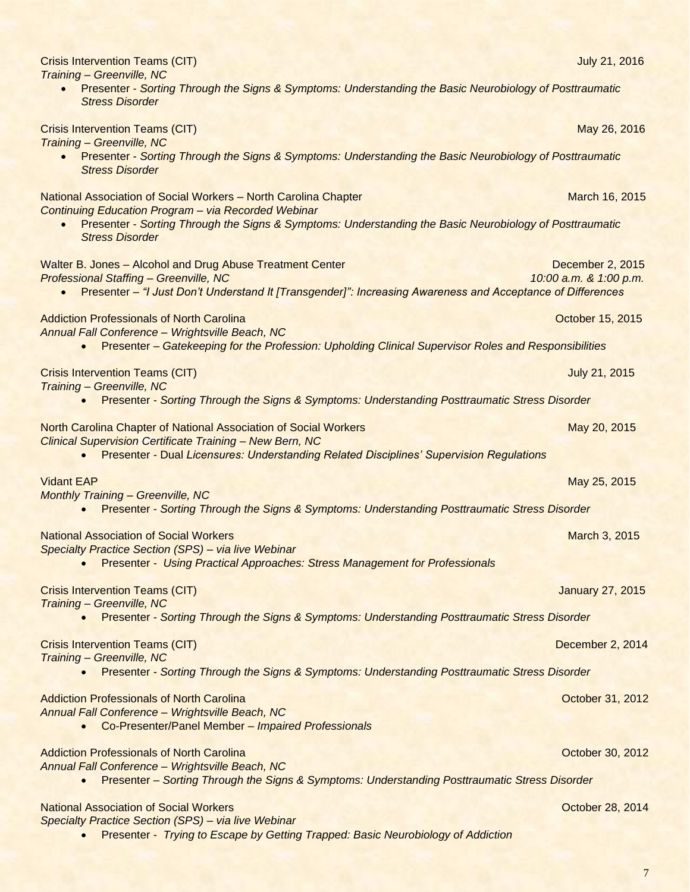| <b>Crisis Intervention Teams (CIT)</b><br>Training - Greenville, NC                                                                                                                                                      | <b>July 21, 2016</b>                       |
|--------------------------------------------------------------------------------------------------------------------------------------------------------------------------------------------------------------------------|--------------------------------------------|
| • Presenter - Sorting Through the Signs & Symptoms: Understanding the Basic Neurobiology of Posttraumatic<br><b>Stress Disorder</b>                                                                                      |                                            |
| <b>Crisis Intervention Teams (CIT)</b>                                                                                                                                                                                   | May 26, 2016                               |
| Training - Greenville, NC<br>• Presenter - Sorting Through the Signs & Symptoms: Understanding the Basic Neurobiology of Posttraumatic<br><b>Stress Disorder</b>                                                         |                                            |
| National Association of Social Workers - North Carolina Chapter<br>Continuing Education Program - via Recorded Webinar                                                                                                   | March 16, 2015                             |
| Presenter - Sorting Through the Signs & Symptoms: Understanding the Basic Neurobiology of Posttraumatic<br><b>Stress Disorder</b>                                                                                        |                                            |
| Walter B. Jones - Alcohol and Drug Abuse Treatment Center<br><b>Professional Staffing - Greenville, NC</b><br>Presenter - "I Just Don't Understand It [Transgender]": Increasing Awareness and Acceptance of Differences | December 2, 2015<br>10:00 a.m. & 1:00 p.m. |
| <b>Addiction Professionals of North Carolina</b>                                                                                                                                                                         | October 15, 2015                           |
| Annual Fall Conference - Wrightsville Beach, NC<br>Presenter - Gatekeeping for the Profession: Upholding Clinical Supervisor Roles and Responsibilities                                                                  |                                            |
| <b>Crisis Intervention Teams (CIT)</b><br>Training - Greenville, NC                                                                                                                                                      | July 21, 2015                              |
| Presenter - Sorting Through the Signs & Symptoms: Understanding Posttraumatic Stress Disorder                                                                                                                            |                                            |
| North Carolina Chapter of National Association of Social Workers<br><b>Clinical Supervision Certificate Training - New Bern, NC</b>                                                                                      | May 20, 2015                               |
| Presenter - Dual Licensures: Understanding Related Disciplines' Supervision Regulations<br>$\bullet$                                                                                                                     |                                            |
| <b>Vidant EAP</b><br><b>Monthly Training - Greenville, NC</b>                                                                                                                                                            | May 25, 2015                               |
| Presenter - Sorting Through the Signs & Symptoms: Understanding Posttraumatic Stress Disorder                                                                                                                            |                                            |
| <b>National Association of Social Workers</b>                                                                                                                                                                            | March 3, 2015                              |
| Specialty Practice Section (SPS) - via live Webinar<br>Presenter - Using Practical Approaches: Stress Management for Professionals                                                                                       |                                            |
| <b>Crisis Intervention Teams (CIT)</b><br><b>Training - Greenville, NC</b>                                                                                                                                               | <b>January 27, 2015</b>                    |
| Presenter - Sorting Through the Signs & Symptoms: Understanding Posttraumatic Stress Disorder                                                                                                                            |                                            |
| <b>Crisis Intervention Teams (CIT)</b><br>Training - Greenville, NC                                                                                                                                                      | December 2, 2014                           |
| Presenter - Sorting Through the Signs & Symptoms: Understanding Posttraumatic Stress Disorder                                                                                                                            |                                            |
| <b>Addiction Professionals of North Carolina</b><br>Annual Fall Conference - Wrightsville Beach, NC                                                                                                                      | October 31, 2012                           |
| Co-Presenter/Panel Member - Impaired Professionals<br>$\bullet$                                                                                                                                                          |                                            |
| <b>Addiction Professionals of North Carolina</b>                                                                                                                                                                         | October 30, 2012                           |
| Annual Fall Conference - Wrightsville Beach, NC<br>Presenter - Sorting Through the Signs & Symptoms: Understanding Posttraumatic Stress Disorder<br>$\bullet$                                                            |                                            |
| <b>National Association of Social Workers</b>                                                                                                                                                                            | October 28, 2014                           |
| Specialty Practice Section (SPS) - via live Webinar<br>Presenter - Trying to Escape by Getting Trapped: Basic Neurobiology of Addiction                                                                                  |                                            |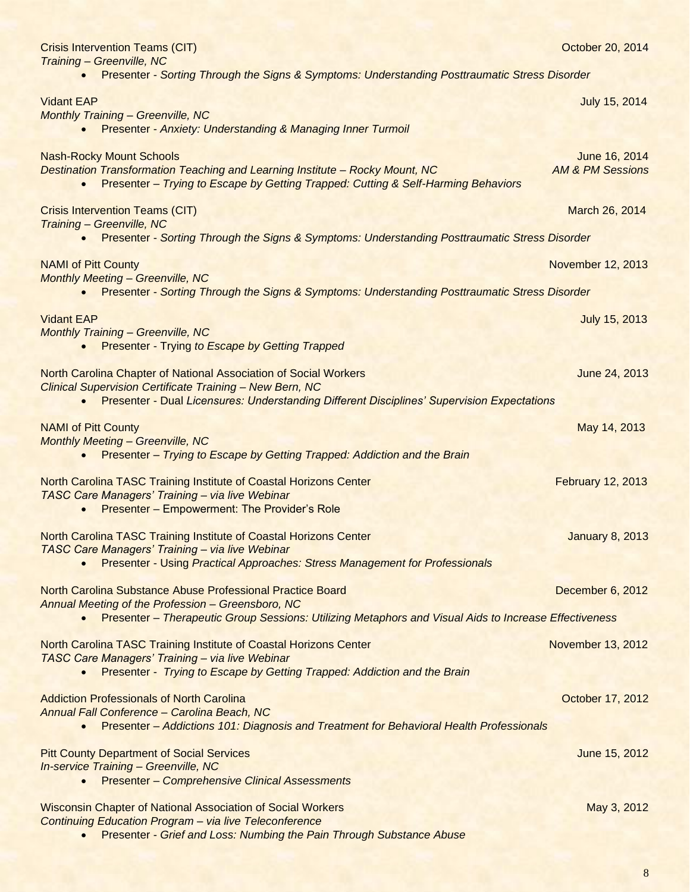| <b>Crisis Intervention Teams (CIT)</b><br>Training - Greenville, NC                                                                                                                                                                            | October 20, 2014                             |  |
|------------------------------------------------------------------------------------------------------------------------------------------------------------------------------------------------------------------------------------------------|----------------------------------------------|--|
| Presenter - Sorting Through the Signs & Symptoms: Understanding Posttraumatic Stress Disorder                                                                                                                                                  |                                              |  |
| <b>Vidant EAP</b><br><b>Monthly Training - Greenville, NC</b><br><b>Presenter - Anxiety: Understanding &amp; Managing Inner Turmoil</b><br>$\bullet$                                                                                           | July 15, 2014                                |  |
| <b>Nash-Rocky Mount Schools</b><br><b>Destination Transformation Teaching and Learning Institute - Rocky Mount, NC</b><br>Presenter - Trying to Escape by Getting Trapped: Cutting & Self-Harming Behaviors                                    | June 16, 2014<br><b>AM &amp; PM Sessions</b> |  |
| <b>Crisis Intervention Teams (CIT)</b>                                                                                                                                                                                                         | March 26, 2014                               |  |
| Training - Greenville, NC<br>Presenter - Sorting Through the Signs & Symptoms: Understanding Posttraumatic Stress Disorder<br>$\bullet$                                                                                                        |                                              |  |
| <b>NAMI of Pitt County</b><br><b>Monthly Meeting - Greenville, NC</b>                                                                                                                                                                          | November 12, 2013                            |  |
| Presenter - Sorting Through the Signs & Symptoms: Understanding Posttraumatic Stress Disorder<br>$\bullet$                                                                                                                                     |                                              |  |
| <b>Vidant EAP</b><br><b>Monthly Training - Greenville, NC</b><br><b>Presenter - Trying to Escape by Getting Trapped</b><br>$\bullet$                                                                                                           | July 15, 2013                                |  |
| North Carolina Chapter of National Association of Social Workers<br><b>Clinical Supervision Certificate Training - New Bern, NC</b><br>Presenter - Dual Licensures: Understanding Different Disciplines' Supervision Expectations<br>$\bullet$ | June 24, 2013                                |  |
| <b>NAMI of Pitt County</b>                                                                                                                                                                                                                     | May 14, 2013                                 |  |
| <b>Monthly Meeting - Greenville, NC</b><br>Presenter - Trying to Escape by Getting Trapped: Addiction and the Brain                                                                                                                            |                                              |  |
| North Carolina TASC Training Institute of Coastal Horizons Center<br>TASC Care Managers' Training - via live Webinar<br><b>Presenter - Empowerment: The Provider's Role</b>                                                                    | <b>February 12, 2013</b>                     |  |
| North Carolina TASC Training Institute of Coastal Horizons Center<br><b>TASC Care Managers' Training - via live Webinar</b><br>Presenter - Using Practical Approaches: Stress Management for Professionals                                     | <b>January 8, 2013</b>                       |  |
| North Carolina Substance Abuse Professional Practice Board<br>Annual Meeting of the Profession - Greensboro, NC                                                                                                                                | December 6, 2012                             |  |
| Presenter - Therapeutic Group Sessions: Utilizing Metaphors and Visual Aids to Increase Effectiveness                                                                                                                                          |                                              |  |
| North Carolina TASC Training Institute of Coastal Horizons Center<br>TASC Care Managers' Training - via live Webinar<br>Presenter - Trying to Escape by Getting Trapped: Addiction and the Brain                                               | November 13, 2012                            |  |
| <b>Addiction Professionals of North Carolina</b><br>Annual Fall Conference - Carolina Beach, NC<br>Presenter - Addictions 101: Diagnosis and Treatment for Behavioral Health Professionals                                                     | October 17, 2012                             |  |
| <b>Pitt County Department of Social Services</b><br>In-service Training - Greenville, NC<br><b>Presenter - Comprehensive Clinical Assessments</b>                                                                                              | June 15, 2012                                |  |
| <b>Wisconsin Chapter of National Association of Social Workers</b><br><b>Continuing Education Program - via live Teleconference</b><br><b>Presenter - Grief and Loss: Numbing the Pain Through Substance Abuse</b>                             | May 3, 2012                                  |  |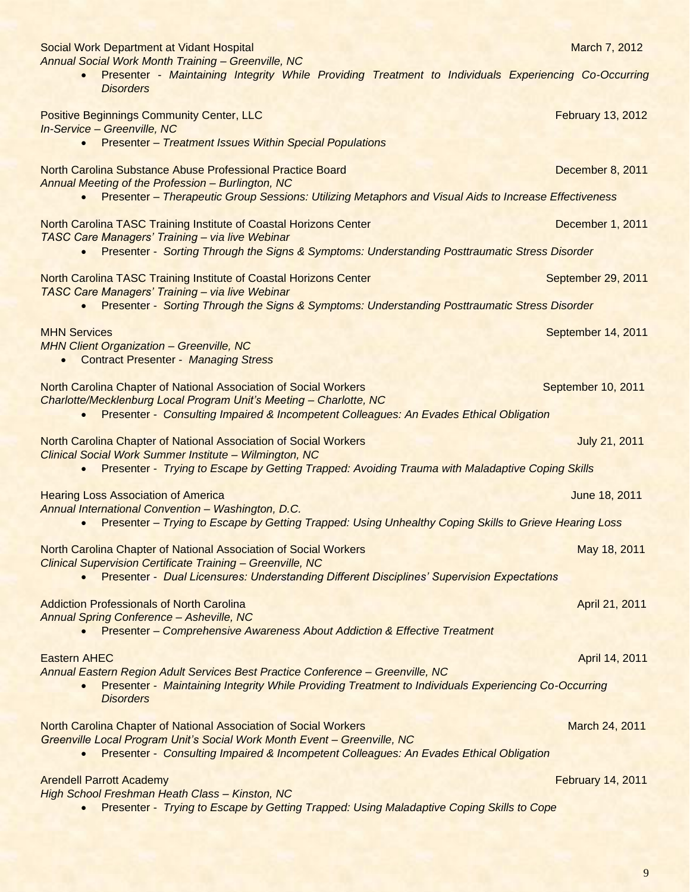| Social Work Department at Vidant Hospital<br><b>Annual Social Work Month Training - Greenville, NC</b>                                                                                                     | March 7, 2012            |
|------------------------------------------------------------------------------------------------------------------------------------------------------------------------------------------------------------|--------------------------|
| Presenter - Maintaining Integrity While Providing Treatment to Individuals Experiencing Co-Occurring<br><b>Disorders</b>                                                                                   |                          |
| <b>Positive Beginnings Community Center, LLC</b><br>In-Service - Greenville, NC<br><b>Presenter - Treatment Issues Within Special Populations</b>                                                          | <b>February 13, 2012</b> |
| $\bullet$                                                                                                                                                                                                  |                          |
| <b>North Carolina Substance Abuse Professional Practice Board</b><br>Annual Meeting of the Profession - Burlington, NC                                                                                     | December 8, 2011         |
| Presenter - Therapeutic Group Sessions: Utilizing Metaphors and Visual Aids to Increase Effectiveness<br>$\bullet$                                                                                         |                          |
| North Carolina TASC Training Institute of Coastal Horizons Center                                                                                                                                          | December 1, 2011         |
| TASC Care Managers' Training - via live Webinar<br>Presenter - Sorting Through the Signs & Symptoms: Understanding Posttraumatic Stress Disorder<br>$\bullet$                                              |                          |
| North Carolina TASC Training Institute of Coastal Horizons Center<br>TASC Care Managers' Training - via live Webinar                                                                                       | September 29, 2011       |
| Presenter - Sorting Through the Signs & Symptoms: Understanding Posttraumatic Stress Disorder<br>$\bullet$                                                                                                 |                          |
| <b>MHN Services</b>                                                                                                                                                                                        | September 14, 2011       |
| <b>MHN Client Organization - Greenville, NC</b><br><b>Contract Presenter - Managing Stress</b><br>$\bullet$                                                                                                |                          |
| North Carolina Chapter of National Association of Social Workers<br>Charlotte/Mecklenburg Local Program Unit's Meeting - Charlotte, NC                                                                     | September 10, 2011       |
| Presenter - Consulting Impaired & Incompetent Colleagues: An Evades Ethical Obligation<br>$\bullet$                                                                                                        |                          |
| North Carolina Chapter of National Association of Social Workers<br>Clinical Social Work Summer Institute - Wilmington, NC                                                                                 | July 21, 2011            |
| Presenter - Trying to Escape by Getting Trapped: Avoiding Trauma with Maladaptive Coping Skills<br>$\bullet$                                                                                               |                          |
| <b>Hearing Loss Association of America</b>                                                                                                                                                                 | June 18, 2011            |
| Annual International Convention - Washington, D.C.<br>Presenter - Trying to Escape by Getting Trapped: Using Unhealthy Coping Skills to Grieve Hearing Loss<br>$\bullet$                                   |                          |
| <b>North Carolina Chapter of National Association of Social Workers</b>                                                                                                                                    | May 18, 2011             |
| <b>Clinical Supervision Certificate Training - Greenville, NC</b><br>Presenter - Dual Licensures: Understanding Different Disciplines' Supervision Expectations                                            |                          |
| <b>Addiction Professionals of North Carolina</b>                                                                                                                                                           | April 21, 2011           |
| <b>Annual Spring Conference - Asheville, NC</b><br><b>Presenter – Comprehensive Awareness About Addiction &amp; Effective Treatment</b>                                                                    |                          |
| <b>Eastern AHEC</b>                                                                                                                                                                                        | April 14, 2011           |
| Annual Eastern Region Adult Services Best Practice Conference - Greenville, NC<br>Presenter - Maintaining Integrity While Providing Treatment to Individuals Experiencing Co-Occurring<br><b>Disorders</b> |                          |
| <b>North Carolina Chapter of National Association of Social Workers</b>                                                                                                                                    | March 24, 2011           |
| Greenville Local Program Unit's Social Work Month Event - Greenville, NC<br>Presenter - Consulting Impaired & Incompetent Colleagues: An Evades Ethical Obligation<br>$\bullet$                            |                          |
| <b>Arendell Parrott Academy</b>                                                                                                                                                                            | <b>February 14, 2011</b> |
| High School Freshman Heath Class - Kinston, NC<br>Presenter - Trying to Escape by Getting Trapped: Using Maladaptive Coping Skills to Cope                                                                 |                          |
|                                                                                                                                                                                                            |                          |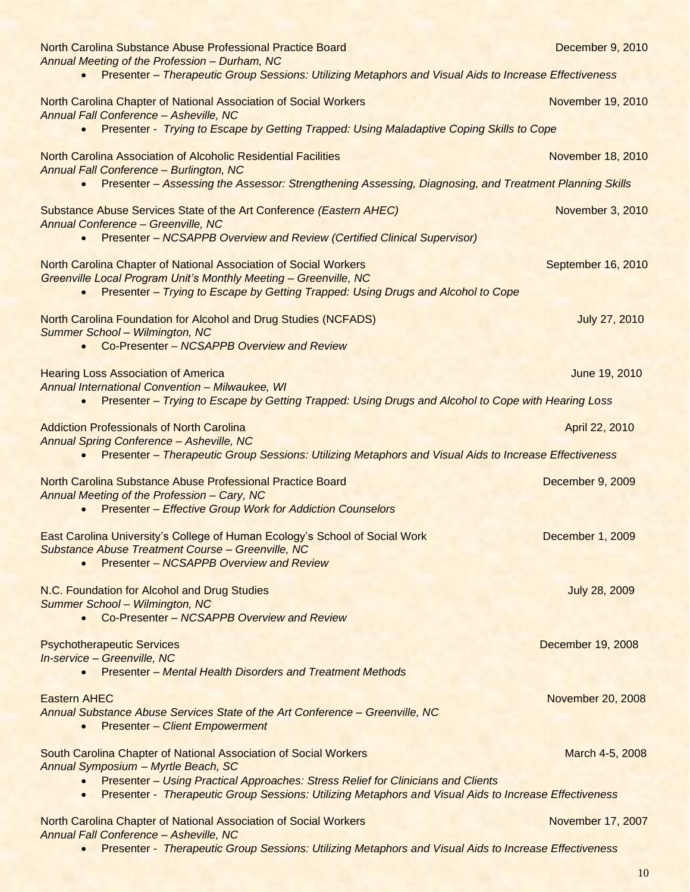| North Carolina Substance Abuse Professional Practice Board<br>Annual Meeting of the Profession - Durham, NC                                                                                                                                  | December 9, 2010     |
|----------------------------------------------------------------------------------------------------------------------------------------------------------------------------------------------------------------------------------------------|----------------------|
| Presenter - Therapeutic Group Sessions: Utilizing Metaphors and Visual Aids to Increase Effectiveness<br>$\bullet$                                                                                                                           |                      |
| North Carolina Chapter of National Association of Social Workers<br>Annual Fall Conference - Asheville, NC                                                                                                                                   | November 19, 2010    |
| Presenter - Trying to Escape by Getting Trapped: Using Maladaptive Coping Skills to Cope<br>$\bullet$                                                                                                                                        |                      |
| North Carolina Association of Alcoholic Residential Facilities<br><b>Annual Fall Conference - Burlington, NC</b>                                                                                                                             | November 18, 2010    |
| Presenter - Assessing the Assessor: Strengthening Assessing, Diagnosing, and Treatment Planning Skills<br>$\bullet$                                                                                                                          |                      |
| Substance Abuse Services State of the Art Conference (Eastern AHEC)<br><b>Annual Conference - Greenville, NC</b><br><b>Presenter - NCSAPPB Overview and Review (Certified Clinical Supervisor)</b><br>$\bullet$                              | November 3, 2010     |
| North Carolina Chapter of National Association of Social Workers<br><b>Greenville Local Program Unit's Monthly Meeting - Greenville, NC</b><br>Presenter - Trying to Escape by Getting Trapped: Using Drugs and Alcohol to Cope<br>$\bullet$ | September 16, 2010   |
| North Carolina Foundation for Alcohol and Drug Studies (NCFADS)<br>Summer School - Wilmington, NC<br>Co-Presenter - NCSAPPB Overview and Review<br>$\bullet$                                                                                 | July 27, 2010        |
|                                                                                                                                                                                                                                              |                      |
| <b>Hearing Loss Association of America</b><br><b>Annual International Convention - Milwaukee, WI</b><br>Presenter - Trying to Escape by Getting Trapped: Using Drugs and Alcohol to Cope with Hearing Loss<br>$\bullet$                      | June 19, 2010        |
| <b>Addiction Professionals of North Carolina</b>                                                                                                                                                                                             | April 22, 2010       |
| <b>Annual Spring Conference - Asheville, NC</b><br>Presenter - Therapeutic Group Sessions: Utilizing Metaphors and Visual Aids to Increase Effectiveness<br>$\bullet$                                                                        |                      |
| North Carolina Substance Abuse Professional Practice Board<br>Annual Meeting of the Profession - Cary, NC<br><b>Presenter - Effective Group Work for Addiction Counselors</b><br>$\bullet$                                                   | December 9, 2009     |
| East Carolina University's College of Human Ecology's School of Social Work<br>Substance Abuse Treatment Course - Greenville, NC<br><b>Presenter - NCSAPPB Overview and Review</b>                                                           | December 1, 2009     |
| N.C. Foundation for Alcohol and Drug Studies<br>Summer School - Wilmington, NC<br>Co-Presenter - NCSAPPB Overview and Review                                                                                                                 | <b>July 28, 2009</b> |
| <b>Psychotherapeutic Services</b><br>In-service - Greenville, NC<br><b>Presenter - Mental Health Disorders and Treatment Methods</b>                                                                                                         | December 19, 2008    |
| <b>Eastern AHEC</b><br>Annual Substance Abuse Services State of the Art Conference - Greenville, NC<br><b>Presenter - Client Empowerment</b>                                                                                                 | November 20, 2008    |
| South Carolina Chapter of National Association of Social Workers<br>Annual Symposium - Myrtle Beach, SC                                                                                                                                      | March 4-5, 2008      |
| Presenter - Using Practical Approaches: Stress Relief for Clinicians and Clients<br>Presenter - Therapeutic Group Sessions: Utilizing Metaphors and Visual Aids to Increase Effectiveness<br>$\bullet$                                       |                      |
| North Carolina Chapter of National Association of Social Workers<br><b>Annual Fall Conference - Asheville, NC</b>                                                                                                                            | November 17, 2007    |
|                                                                                                                                                                                                                                              |                      |

• Presenter - *Therapeutic Group Sessions: Utilizing Metaphors and Visual Aids to Increase Effectiveness*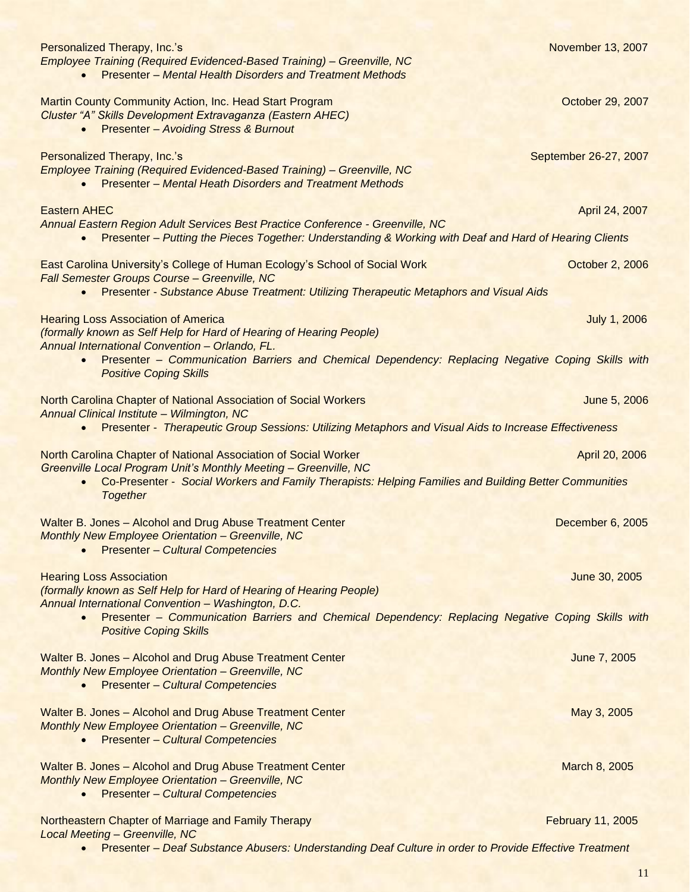| Personalized Therapy, Inc.'s<br>Employee Training (Required Evidenced-Based Training) - Greenville, NC<br><b>Presenter - Mental Health Disorders and Treatment Methods</b>                                                                   | November 13, 2007        |
|----------------------------------------------------------------------------------------------------------------------------------------------------------------------------------------------------------------------------------------------|--------------------------|
| <b>Martin County Community Action, Inc. Head Start Program</b><br>Cluster "A" Skills Development Extravaganza (Eastern AHEC)<br><b>Presenter - Avoiding Stress &amp; Burnout</b>                                                             | October 29, 2007         |
| Personalized Therapy, Inc.'s<br>Employee Training (Required Evidenced-Based Training) - Greenville, NC<br><b>Presenter - Mental Heath Disorders and Treatment Methods</b>                                                                    | September 26-27, 2007    |
| <b>Eastern AHEC</b>                                                                                                                                                                                                                          | April 24, 2007           |
| Annual Eastern Region Adult Services Best Practice Conference - Greenville, NC<br>Presenter - Putting the Pieces Together: Understanding & Working with Deaf and Hard of Hearing Clients                                                     |                          |
| East Carolina University's College of Human Ecology's School of Social Work<br>Fall Semester Groups Course - Greenville, NC<br>Presenter - Substance Abuse Treatment: Utilizing Therapeutic Metaphors and Visual Aids                        | October 2, 2006          |
|                                                                                                                                                                                                                                              |                          |
| <b>Hearing Loss Association of America</b><br>(formally known as Self Help for Hard of Hearing of Hearing People)<br>Annual International Convention - Orlando, FL.                                                                          | <b>July 1, 2006</b>      |
| Presenter - Communication Barriers and Chemical Dependency: Replacing Negative Coping Skills with<br><b>Positive Coping Skills</b>                                                                                                           |                          |
| North Carolina Chapter of National Association of Social Workers<br><b>Annual Clinical Institute - Wilmington, NC</b>                                                                                                                        | June 5, 2006             |
| Presenter - Therapeutic Group Sessions: Utilizing Metaphors and Visual Aids to Increase Effectiveness                                                                                                                                        |                          |
| North Carolina Chapter of National Association of Social Worker<br>Greenville Local Program Unit's Monthly Meeting - Greenville, NC<br>Co-Presenter - Social Workers and Family Therapists: Helping Families and Building Better Communities | April 20, 2006           |
| <b>Together</b>                                                                                                                                                                                                                              |                          |
| Walter B. Jones - Alcohol and Drug Abuse Treatment Center<br><b>Monthly New Employee Orientation - Greenville, NC</b><br><b>Presenter - Cultural Competencies</b>                                                                            | December 6, 2005         |
| <b>Hearing Loss Association</b>                                                                                                                                                                                                              | June 30, 2005            |
| (formally known as Self Help for Hard of Hearing of Hearing People)<br>Annual International Convention - Washington, D.C.                                                                                                                    |                          |
| Presenter - Communication Barriers and Chemical Dependency: Replacing Negative Coping Skills with<br>$\bullet$<br><b>Positive Coping Skills</b>                                                                                              |                          |
| Walter B. Jones - Alcohol and Drug Abuse Treatment Center<br><b>Monthly New Employee Orientation - Greenville, NC</b><br><b>Presenter - Cultural Competencies</b><br>$\bullet$                                                               | June 7, 2005             |
| Walter B. Jones - Alcohol and Drug Abuse Treatment Center<br><b>Monthly New Employee Orientation - Greenville, NC</b><br><b>Presenter - Cultural Competencies</b><br>$\bullet$                                                               | May 3, 2005              |
| Walter B. Jones - Alcohol and Drug Abuse Treatment Center<br><b>Monthly New Employee Orientation - Greenville, NC</b><br><b>Presenter - Cultural Competencies</b><br>$\bullet$                                                               | March 8, 2005            |
| Northeastern Chapter of Marriage and Family Therapy<br><b>Local Meeting - Greenville, NC</b>                                                                                                                                                 | <b>February 11, 2005</b> |
| Presenter - Deaf Substance Abusers: Understanding Deaf Culture in order to Provide Effective Treatment                                                                                                                                       |                          |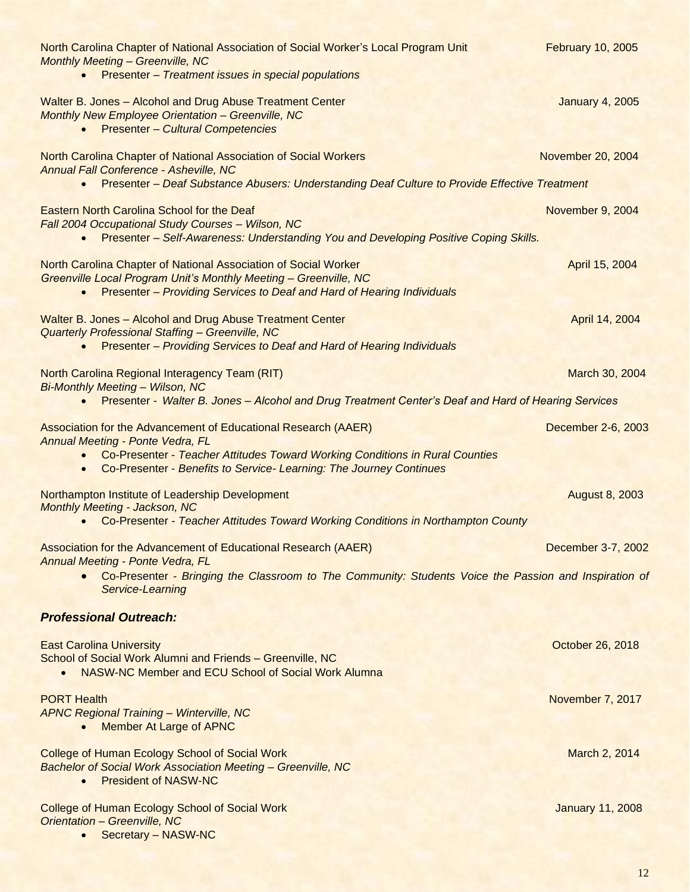| North Carolina Chapter of National Association of Social Worker's Local Program Unit<br><b>Monthly Meeting - Greenville, NC</b><br>Presenter - Treatment issues in special populations                                                                                                     | <b>February 10, 2005</b> |
|--------------------------------------------------------------------------------------------------------------------------------------------------------------------------------------------------------------------------------------------------------------------------------------------|--------------------------|
| Walter B. Jones - Alcohol and Drug Abuse Treatment Center<br><b>Monthly New Employee Orientation - Greenville, NC</b><br><b>Presenter - Cultural Competencies</b>                                                                                                                          | <b>January 4, 2005</b>   |
| North Carolina Chapter of National Association of Social Workers<br>Annual Fall Conference - Asheville, NC<br>Presenter - Deaf Substance Abusers: Understanding Deaf Culture to Provide Effective Treatment<br>$\bullet$                                                                   | November 20, 2004        |
|                                                                                                                                                                                                                                                                                            |                          |
| Eastern North Carolina School for the Deaf<br>Fall 2004 Occupational Study Courses - Wilson, NC<br>Presenter - Self-Awareness: Understanding You and Developing Positive Coping Skills.                                                                                                    | November 9, 2004         |
| North Carolina Chapter of National Association of Social Worker<br><b>Greenville Local Program Unit's Monthly Meeting - Greenville, NC</b><br>Presenter - Providing Services to Deaf and Hard of Hearing Individuals<br>$\bullet$                                                          | April 15, 2004           |
| Walter B. Jones - Alcohol and Drug Abuse Treatment Center<br>Quarterly Professional Staffing - Greenville, NC<br><b>Presenter - Providing Services to Deaf and Hard of Hearing Individuals</b>                                                                                             | April 14, 2004           |
| North Carolina Regional Interagency Team (RIT)<br><b>Bi-Monthly Meeting - Wilson, NC</b><br>Presenter - Walter B. Jones - Alcohol and Drug Treatment Center's Deaf and Hard of Hearing Services<br>$\bullet$                                                                               | March 30, 2004           |
| Association for the Advancement of Educational Research (AAER)<br><b>Annual Meeting - Ponte Vedra, FL</b><br>Co-Presenter - Teacher Attitudes Toward Working Conditions in Rural Counties<br>$\bullet$<br>Co-Presenter - Benefits to Service- Learning: The Journey Continues<br>$\bullet$ | December 2-6, 2003       |
| Northampton Institute of Leadership Development<br><b>Monthly Meeting - Jackson, NC</b><br>Co-Presenter - Teacher Attitudes Toward Working Conditions in Northampton County                                                                                                                | <b>August 8, 2003</b>    |
| Association for the Advancement of Educational Research (AAER)<br>Annual Meeting - Ponte Vedra, FL<br>Co-Presenter - Bringing the Classroom to The Community: Students Voice the Passion and Inspiration of<br>Service-Learning                                                            | December 3-7, 2002       |
| <b>Professional Outreach:</b>                                                                                                                                                                                                                                                              |                          |
| <b>East Carolina University</b><br>School of Social Work Alumni and Friends - Greenville, NC<br>NASW-NC Member and ECU School of Social Work Alumna<br>$\bullet$                                                                                                                           | October 26, 2018         |
| <b>PORT Health</b><br><b>APNC Regional Training - Winterville, NC</b><br><b>Member At Large of APNC</b>                                                                                                                                                                                    | November 7, 2017         |
| <b>College of Human Ecology School of Social Work</b><br><b>Bachelor of Social Work Association Meeting - Greenville, NC</b><br><b>President of NASW-NC</b>                                                                                                                                | March 2, 2014            |
| <b>College of Human Ecology School of Social Work</b><br>Orientation - Greenville, NC<br>Secretary - NASW-NC                                                                                                                                                                               | <b>January 11, 2008</b>  |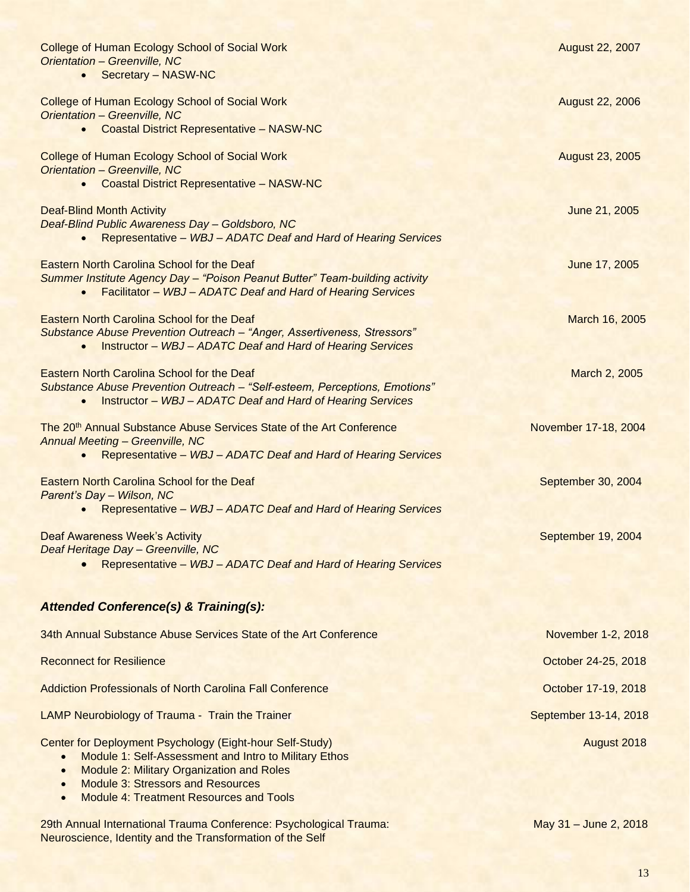| <b>College of Human Ecology School of Social Work</b><br><b>Orientation - Greenville, NC</b><br>Secretary - NASW-NC<br>$\bullet$                                                                                  | August 22, 2007        |
|-------------------------------------------------------------------------------------------------------------------------------------------------------------------------------------------------------------------|------------------------|
| <b>College of Human Ecology School of Social Work</b><br>Orientation - Greenville, NC<br><b>Coastal District Representative - NASW-NC</b><br>$\bullet$                                                            | <b>August 22, 2006</b> |
| <b>College of Human Ecology School of Social Work</b><br><b>Orientation - Greenville, NC</b><br><b>Coastal District Representative - NASW-NC</b><br>$\bullet$                                                     | <b>August 23, 2005</b> |
| <b>Deaf-Blind Month Activity</b><br>Deaf-Blind Public Awareness Day - Goldsboro, NC<br>Representative - WBJ - ADATC Deaf and Hard of Hearing Services<br>$\bullet$                                                | June 21, 2005          |
| <b>Eastern North Carolina School for the Deaf</b><br>Summer Institute Agency Day - "Poison Peanut Butter" Team-building activity<br>Facilitator - WBJ - ADATC Deaf and Hard of Hearing Services<br>$\bullet$      | June 17, 2005          |
| Eastern North Carolina School for the Deaf<br>Substance Abuse Prevention Outreach - "Anger, Assertiveness, Stressors"<br><b>Instructor - WBJ - ADATC Deaf and Hard of Hearing Services</b><br>$\bullet$           | March 16, 2005         |
| <b>Eastern North Carolina School for the Deaf</b><br>Substance Abuse Prevention Outreach - "Self-esteem, Perceptions, Emotions"<br><b>Instructor - WBJ - ADATC Deaf and Hard of Hearing Services</b><br>$\bullet$ | March 2, 2005          |
| The 20 <sup>th</sup> Annual Substance Abuse Services State of the Art Conference<br><b>Annual Meeting - Greenville, NC</b><br>Representative - WBJ - ADATC Deaf and Hard of Hearing Services<br>$\bullet$         | November 17-18, 2004   |
| <b>Eastern North Carolina School for the Deaf</b><br>Parent's Day - Wilson, NC<br>Representative - WBJ - ADATC Deaf and Hard of Hearing Services<br>$\bullet$                                                     | September 30, 2004     |
| <b>Deaf Awareness Week's Activity</b><br>Deaf Heritage Day - Greenville, NC<br>Representative - WBJ - ADATC Deaf and Hard of Hearing Services                                                                     | September 19, 2004     |
| <b>Attended Conference(s) &amp; Training(s):</b>                                                                                                                                                                  |                        |
| 34th Annual Substance Abuse Services State of the Art Conference                                                                                                                                                  | November 1-2, 2018     |
| <b>Reconnect for Resilience</b>                                                                                                                                                                                   | October 24-25, 2018    |
| <b>Addiction Professionals of North Carolina Fall Conference</b>                                                                                                                                                  | October 17-19, 2018    |
| <b>LAMP Neurobiology of Trauma - Train the Trainer</b>                                                                                                                                                            | September 13-14, 2018  |
| Center for Deployment Psychology (Eight-hour Self-Study)<br>Module 1: Self-Assessment and Intro to Military Ethos<br>Module 2: Military Organization and Roles<br><b>Module 3: Stressors and Resources</b>        | August 2018            |

• Module 4: Treatment Resources and Tools

29th Annual International Trauma Conference: Psychological Trauma: May 31 – June 2, 2018 Neuroscience, Identity and the Transformation of the Self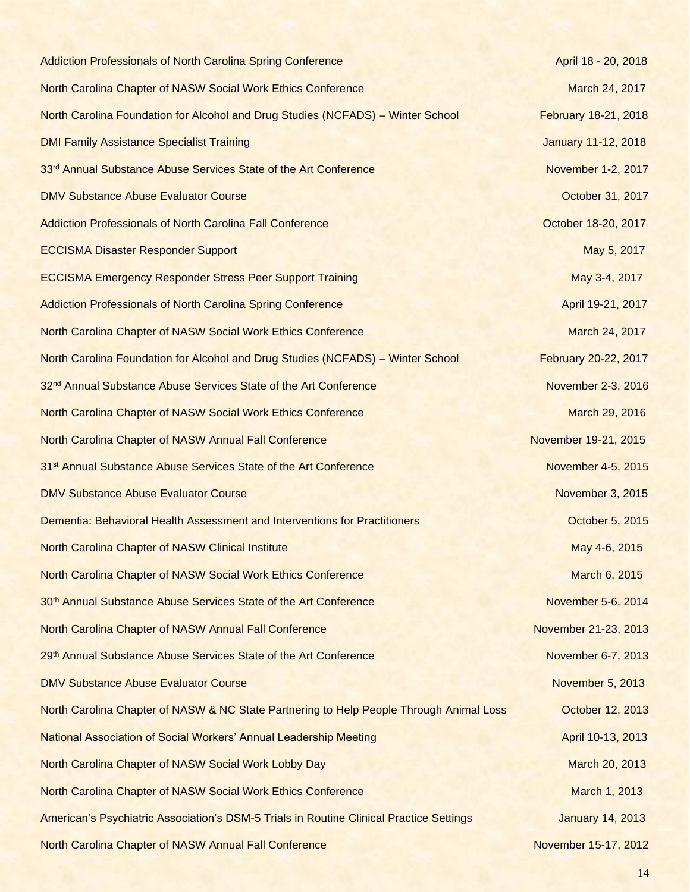Addiction Professionals of North Carolina Spring Conference **April 18 - 20, 2018** April 18 - 20, 2018 North Carolina Chapter of NASW Social Work Ethics Conference March 2017 March 24, 2017 North Carolina Foundation for Alcohol and Drug Studies (NCFADS) – Winter School February 18-21, 2018 DMI Family Assistance Specialist Training **Contract Contract Contract Contract Contract Contract Contract Contract Contract Contract Contract Contract Contract Contract Contract Contract Contract Contract Contract Contract** 33<sup>rd</sup> Annual Substance Abuse Services State of the Art Conference November 1-2, 2017 DMV Substance Abuse Evaluator Course October 31, 2017 Addiction Professionals of North Carolina Fall Conference **Carolina Fall Conference Conference Conference Conference Conference Conference Conference Conference Conference Conference Conference Confer ECCISMA Disaster Responder Support May 5, 2017** May 5, 2017 ECCISMA Emergency Responder Stress Peer Support Training May 3-4, 2017 Addiction Professionals of North Carolina Spring Conference April 19-21, 2017 North Carolina Chapter of NASW Social Work Ethics Conference March 2017 March 24, 2017 North Carolina Foundation for Alcohol and Drug Studies (NCFADS) – Winter School February 20-22, 2017 32<sup>nd</sup> Annual Substance Abuse Services State of the Art Conference November 2-3, 2016 North Carolina Chapter of NASW Social Work Ethics Conference March 29, 2016 North Carolina Chapter of NASW Annual Fall Conference November 19-21, 2015 31st Annual Substance Abuse Services State of the Art Conference November 4-5, 2015 **DMV Substance Abuse Evaluator Course November 3, 2015** November 3, 2015 Dementia: Behavioral Health Assessment and Interventions for Practitioners **Demention** Cotober 5, 2015 North Carolina Chapter of NASW Clinical Institute May 4-6, 2015 North Carolina Chapter of NASW Social Work Ethics Conference March 6, 2015 30<sup>th</sup> Annual Substance Abuse Services State of the Art Conference November 5-6, 2014 North Carolina Chapter of NASW Annual Fall Conference November 21-23, 2013 29th Annual Substance Abuse Services State of the Art Conference November 6-7, 2013 **DMV Substance Abuse Evaluator Course November 5, 2013** November 5, 2013 North Carolina Chapter of NASW & NC State Partnering to Help People Through Animal Loss Cortober 12, 2013 National Association of Social Workers' Annual Leadership Meeting **April 10-13, 2013** April 10-13, 2013 North Carolina Chapter of NASW Social Work Lobby Day March 20, 2013 North Carolina Chapter of NASW Social Work Ethics Conference March 1, 2013 American's Psychiatric Association's DSM-5 Trials in Routine Clinical Practice Settings January 14, 2013 North Carolina Chapter of NASW Annual Fall Conference November 15-17, 2012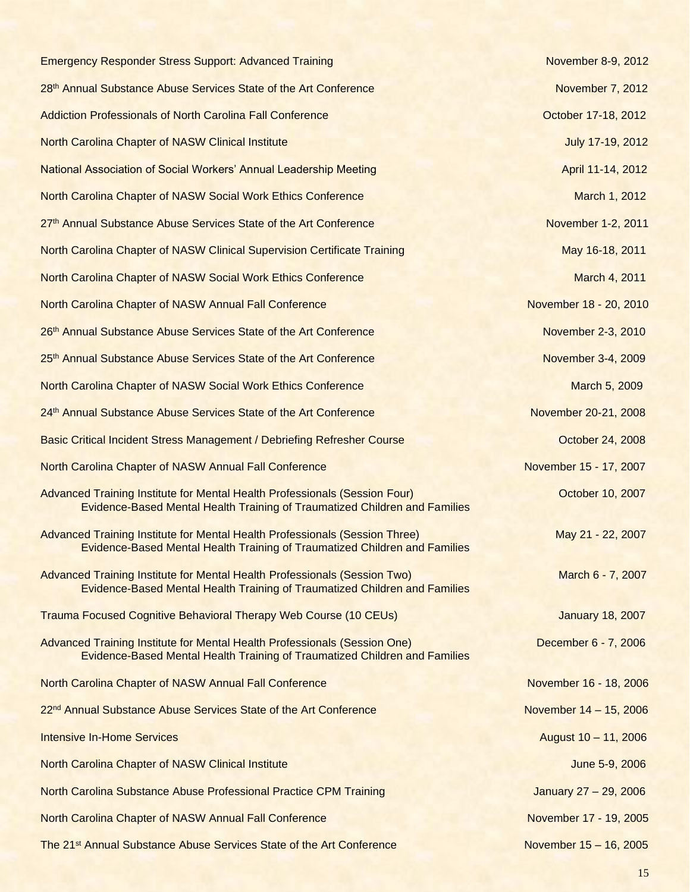| <b>Emergency Responder Stress Support: Advanced Training</b>                                                                                              | November 8-9, 2012      |
|-----------------------------------------------------------------------------------------------------------------------------------------------------------|-------------------------|
| 28th Annual Substance Abuse Services State of the Art Conference                                                                                          | November 7, 2012        |
| <b>Addiction Professionals of North Carolina Fall Conference</b>                                                                                          | October 17-18, 2012     |
| <b>North Carolina Chapter of NASW Clinical Institute</b>                                                                                                  | July 17-19, 2012        |
| <b>National Association of Social Workers' Annual Leadership Meeting</b>                                                                                  | April 11-14, 2012       |
| North Carolina Chapter of NASW Social Work Ethics Conference                                                                                              | March 1, 2012           |
| 27th Annual Substance Abuse Services State of the Art Conference                                                                                          | November 1-2, 2011      |
| North Carolina Chapter of NASW Clinical Supervision Certificate Training                                                                                  | May 16-18, 2011         |
| <b>North Carolina Chapter of NASW Social Work Ethics Conference</b>                                                                                       | March 4, 2011           |
| North Carolina Chapter of NASW Annual Fall Conference                                                                                                     | November 18 - 20, 2010  |
| 26th Annual Substance Abuse Services State of the Art Conference                                                                                          | November 2-3, 2010      |
| 25th Annual Substance Abuse Services State of the Art Conference                                                                                          | November 3-4, 2009      |
| North Carolina Chapter of NASW Social Work Ethics Conference                                                                                              | March 5, 2009           |
| 24th Annual Substance Abuse Services State of the Art Conference                                                                                          | November 20-21, 2008    |
| <b>Basic Critical Incident Stress Management / Debriefing Refresher Course</b>                                                                            | October 24, 2008        |
| North Carolina Chapter of NASW Annual Fall Conference                                                                                                     | November 15 - 17, 2007  |
| Advanced Training Institute for Mental Health Professionals (Session Four)<br>Evidence-Based Mental Health Training of Traumatized Children and Families  | October 10, 2007        |
| Advanced Training Institute for Mental Health Professionals (Session Three)<br>Evidence-Based Mental Health Training of Traumatized Children and Families | May 21 - 22, 2007       |
| Advanced Training Institute for Mental Health Professionals (Session Two)<br>Evidence-Based Mental Health Training of Traumatized Children and Families   | March 6 - 7, 2007       |
| <b>Trauma Focused Cognitive Behavioral Therapy Web Course (10 CEUs)</b>                                                                                   | <b>January 18, 2007</b> |
| Advanced Training Institute for Mental Health Professionals (Session One)<br>Evidence-Based Mental Health Training of Traumatized Children and Families   | December 6 - 7, 2006    |
| North Carolina Chapter of NASW Annual Fall Conference                                                                                                     | November 16 - 18, 2006  |
| 22 <sup>nd</sup> Annual Substance Abuse Services State of the Art Conference                                                                              | November 14 - 15, 2006  |
| <b>Intensive In-Home Services</b>                                                                                                                         | August 10 - 11, 2006    |
| North Carolina Chapter of NASW Clinical Institute                                                                                                         | June 5-9, 2006          |
| North Carolina Substance Abuse Professional Practice CPM Training                                                                                         | January 27 - 29, 2006   |
| North Carolina Chapter of NASW Annual Fall Conference                                                                                                     | November 17 - 19, 2005  |
| The 21 <sup>st</sup> Annual Substance Abuse Services State of the Art Conference                                                                          | November 15 - 16, 2005  |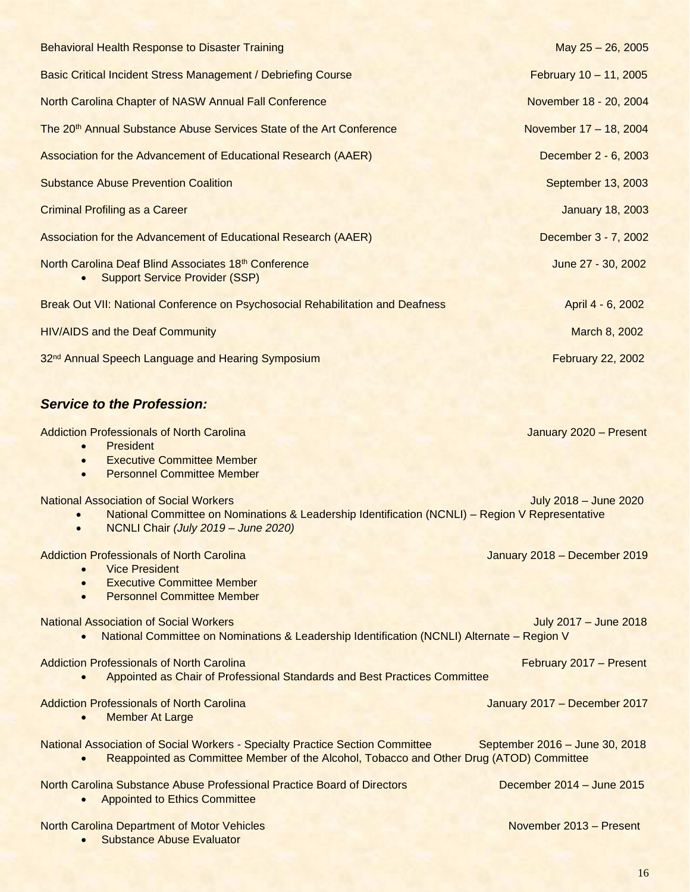| <b>Behavioral Health Response to Disaster Training</b>                                        | May 25 - 26, 2005        |
|-----------------------------------------------------------------------------------------------|--------------------------|
| Basic Critical Incident Stress Management / Debriefing Course                                 | February 10 - 11, 2005   |
| North Carolina Chapter of NASW Annual Fall Conference                                         | November 18 - 20, 2004   |
| The 20 <sup>th</sup> Annual Substance Abuse Services State of the Art Conference              | November 17 - 18, 2004   |
| <b>Association for the Advancement of Educational Research (AAER)</b>                         | December 2 - 6, 2003     |
| <b>Substance Abuse Prevention Coalition</b>                                                   | September 13, 2003       |
| <b>Criminal Profiling as a Career</b>                                                         | <b>January 18, 2003</b>  |
| Association for the Advancement of Educational Research (AAER)                                | December 3 - 7, 2002     |
| North Carolina Deaf Blind Associates 18th Conference<br><b>Support Service Provider (SSP)</b> | June 27 - 30, 2002       |
| Break Out VII: National Conference on Psychosocial Rehabilitation and Deafness                | April 4 - 6, 2002        |
| <b>HIV/AIDS and the Deaf Community</b>                                                        | March 8, 2002            |
| 32 <sup>nd</sup> Annual Speech Language and Hearing Symposium                                 | <b>February 22, 2002</b> |

## *Service to the Profession:*

• Substance Abuse Evaluator

| <b>Addiction Professionals of North Carolina</b><br><b>President</b><br>$\bullet$                                                                                                                    | January 2020 - Present         |
|------------------------------------------------------------------------------------------------------------------------------------------------------------------------------------------------------|--------------------------------|
| <b>Executive Committee Member</b><br>$\bullet$<br><b>Personnel Committee Member</b><br>$\bullet$                                                                                                     |                                |
| <b>National Association of Social Workers</b><br>National Committee on Nominations & Leadership Identification (NCNLI) - Region V Representative<br>NCNLI Chair (July 2019 - June 2020)<br>$\bullet$ | July 2018 - June 2020          |
| <b>Addiction Professionals of North Carolina</b><br><b>Vice President</b><br>$\bullet$                                                                                                               | January 2018 - December 2019   |
| <b>Executive Committee Member</b><br>$\bullet$<br><b>Personnel Committee Member</b><br>$\bullet$                                                                                                     |                                |
| <b>National Association of Social Workers</b><br>National Committee on Nominations & Leadership Identification (NCNLI) Alternate - Region V<br>$\bullet$                                             | July 2017 - June 2018          |
| <b>Addiction Professionals of North Carolina</b><br>Appointed as Chair of Professional Standards and Best Practices Committee                                                                        | February 2017 - Present        |
| <b>Addiction Professionals of North Carolina</b><br><b>Member At Large</b><br>$\bullet$                                                                                                              | January 2017 - December 2017   |
| National Association of Social Workers - Specialty Practice Section Committee<br>Reappointed as Committee Member of the Alcohol, Tobacco and Other Drug (ATOD) Committee                             | September 2016 - June 30, 2018 |
| North Carolina Substance Abuse Professional Practice Board of Directors<br><b>Appointed to Ethics Committee</b>                                                                                      | December 2014 - June 2015      |
| <b>North Carolina Department of Motor Vehicles</b>                                                                                                                                                   | November 2013 - Present        |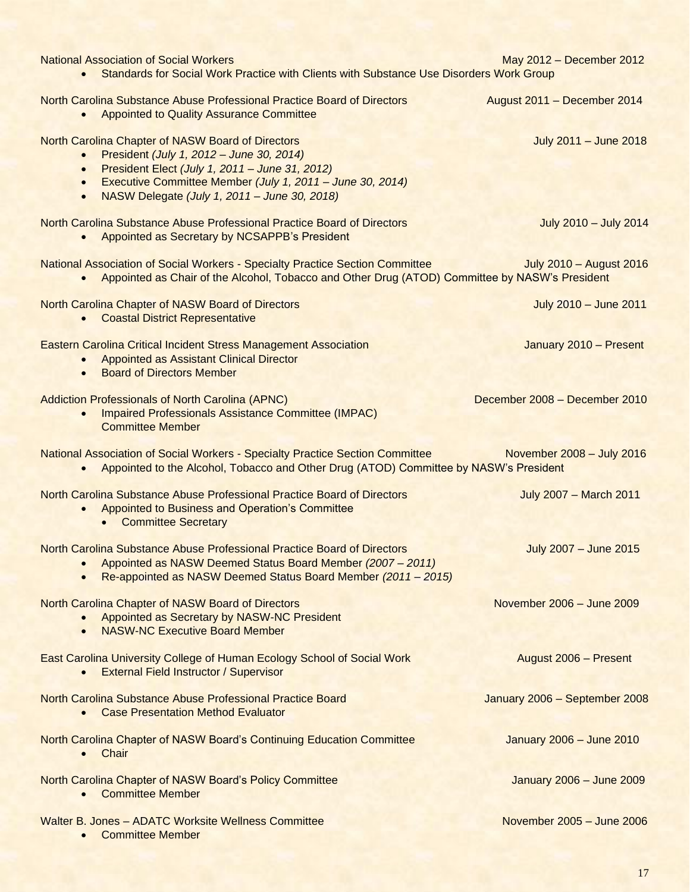| <b>National Association of Social Workers</b><br>Standards for Social Work Practice with Clients with Substance Use Disorders Work Group<br>$\bullet$                                                                                                                                                            | May 2012 - December 2012      |
|------------------------------------------------------------------------------------------------------------------------------------------------------------------------------------------------------------------------------------------------------------------------------------------------------------------|-------------------------------|
| North Carolina Substance Abuse Professional Practice Board of Directors<br>Appointed to Quality Assurance Committee<br>$\bullet$                                                                                                                                                                                 | August 2011 - December 2014   |
| North Carolina Chapter of NASW Board of Directors<br>President (July 1, 2012 - June 30, 2014)<br>$\bullet$<br>President Elect (July 1, 2011 - June 31, 2012)<br>$\bullet$<br>Executive Committee Member (July 1, 2011 - June 30, 2014)<br>$\bullet$<br>NASW Delegate (July 1, 2011 - June 30, 2018)<br>$\bullet$ | July 2011 - June 2018         |
| North Carolina Substance Abuse Professional Practice Board of Directors<br>Appointed as Secretary by NCSAPPB's President<br>$\bullet$                                                                                                                                                                            | July 2010 - July 2014         |
| National Association of Social Workers - Specialty Practice Section Committee<br>Appointed as Chair of the Alcohol, Tobacco and Other Drug (ATOD) Committee by NASW's President<br>$\bullet$                                                                                                                     | July 2010 - August 2016       |
| North Carolina Chapter of NASW Board of Directors<br><b>Coastal District Representative</b><br>$\bullet$                                                                                                                                                                                                         | July 2010 - June 2011         |
| <b>Eastern Carolina Critical Incident Stress Management Association</b><br>Appointed as Assistant Clinical Director<br>$\bullet$<br><b>Board of Directors Member</b><br>$\bullet$                                                                                                                                | January 2010 - Present        |
| <b>Addiction Professionals of North Carolina (APNC)</b><br><b>Impaired Professionals Assistance Committee (IMPAC)</b><br><b>Committee Member</b>                                                                                                                                                                 | December 2008 - December 2010 |
| National Association of Social Workers - Specialty Practice Section Committee<br>Appointed to the Alcohol, Tobacco and Other Drug (ATOD) Committee by NASW's President<br>$\bullet$                                                                                                                              | November 2008 - July 2016     |
| North Carolina Substance Abuse Professional Practice Board of Directors<br>Appointed to Business and Operation's Committee<br>$\bullet$<br><b>Committee Secretary</b>                                                                                                                                            | <b>July 2007 - March 2011</b> |
| North Carolina Substance Abuse Professional Practice Board of Directors<br>Appointed as NASW Deemed Status Board Member (2007 - 2011)<br>Re-appointed as NASW Deemed Status Board Member (2011 - 2015)                                                                                                           | July 2007 - June 2015         |
| North Carolina Chapter of NASW Board of Directors<br>Appointed as Secretary by NASW-NC President<br><b>NASW-NC Executive Board Member</b>                                                                                                                                                                        | November 2006 - June 2009     |
| East Carolina University College of Human Ecology School of Social Work<br><b>External Field Instructor / Supervisor</b>                                                                                                                                                                                         | August 2006 - Present         |
| North Carolina Substance Abuse Professional Practice Board<br><b>Case Presentation Method Evaluator</b>                                                                                                                                                                                                          | January 2006 - September 2008 |
| North Carolina Chapter of NASW Board's Continuing Education Committee<br>Chair                                                                                                                                                                                                                                   | January 2006 - June 2010      |
| North Carolina Chapter of NASW Board's Policy Committee<br><b>Committee Member</b><br>$\bullet$                                                                                                                                                                                                                  | January 2006 - June 2009      |
| <b>Walter B. Jones - ADATC Worksite Wellness Committee</b><br><b>Committee Member</b><br>$\bullet$                                                                                                                                                                                                               | November 2005 - June 2006     |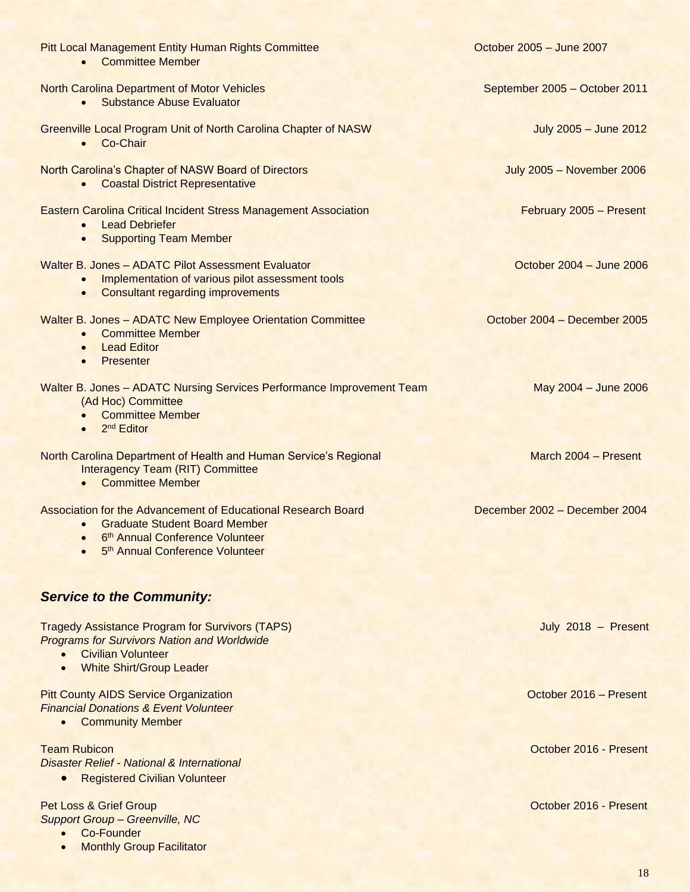| <b>Pitt Local Management Entity Human Rights Committee</b><br><b>Committee Member</b><br>$\bullet$                                                                                                               | October 2005 - June 2007         |
|------------------------------------------------------------------------------------------------------------------------------------------------------------------------------------------------------------------|----------------------------------|
| <b>North Carolina Department of Motor Vehicles</b><br><b>Substance Abuse Evaluator</b><br>$\bullet$                                                                                                              | September 2005 - October 2011    |
| Greenville Local Program Unit of North Carolina Chapter of NASW<br>Co-Chair<br>$\bullet$                                                                                                                         | July 2005 - June 2012            |
| North Carolina's Chapter of NASW Board of Directors<br><b>Coastal District Representative</b><br>$\bullet$                                                                                                       | <b>July 2005 - November 2006</b> |
| <b>Eastern Carolina Critical Incident Stress Management Association</b><br><b>Lead Debriefer</b><br>$\bullet$<br><b>Supporting Team Member</b><br>$\bullet$                                                      | February 2005 - Present          |
| Walter B. Jones - ADATC Pilot Assessment Evaluator<br>Implementation of various pilot assessment tools<br>$\bullet$<br>• Consultant regarding improvements                                                       | October 2004 - June 2006         |
| Walter B. Jones - ADATC New Employee Orientation Committee<br><b>Committee Member</b><br>$\bullet$<br><b>Lead Editor</b><br>$\bullet$<br>Presenter<br>$\bullet$                                                  | October 2004 - December 2005     |
| Walter B. Jones - ADATC Nursing Services Performance Improvement Team<br>(Ad Hoc) Committee<br><b>Committee Member</b><br>$\bullet$<br>2 <sup>nd</sup> Editor<br>$\bullet$                                       | May 2004 - June 2006             |
| North Carolina Department of Health and Human Service's Regional<br><b>Interagency Team (RIT) Committee</b><br>• Committee Member                                                                                | March 2004 - Present             |
| Association for the Advancement of Educational Research Board<br><b>Graduate Student Board Member</b><br>$\bullet$<br>6 <sup>th</sup> Annual Conference Volunteer<br>5 <sup>th</sup> Annual Conference Volunteer | December 2002 - December 2004    |
| <b>Service to the Community:</b>                                                                                                                                                                                 |                                  |
| <b>Tragedy Assistance Program for Survivors (TAPS)</b><br><b>Programs for Survivors Nation and Worldwide</b><br><b>Civilian Volunteer</b><br><b>White Shirt/Group Leader</b>                                     | July 2018 - Present              |
| <b>Pitt County AIDS Service Organization</b><br><b>Financial Donations &amp; Event Volunteer</b><br><b>Community Member</b>                                                                                      | October 2016 - Present           |
| <b>Team Rubicon</b><br><b>Disaster Relief - National &amp; International</b><br><b>Registered Civilian Volunteer</b>                                                                                             | October 2016 - Present           |
| Pet Loss & Grief Group<br><b>Support Group - Greenville, NC</b>                                                                                                                                                  | October 2016 - Present           |

• Co-Founder

• Monthly Group Facilitator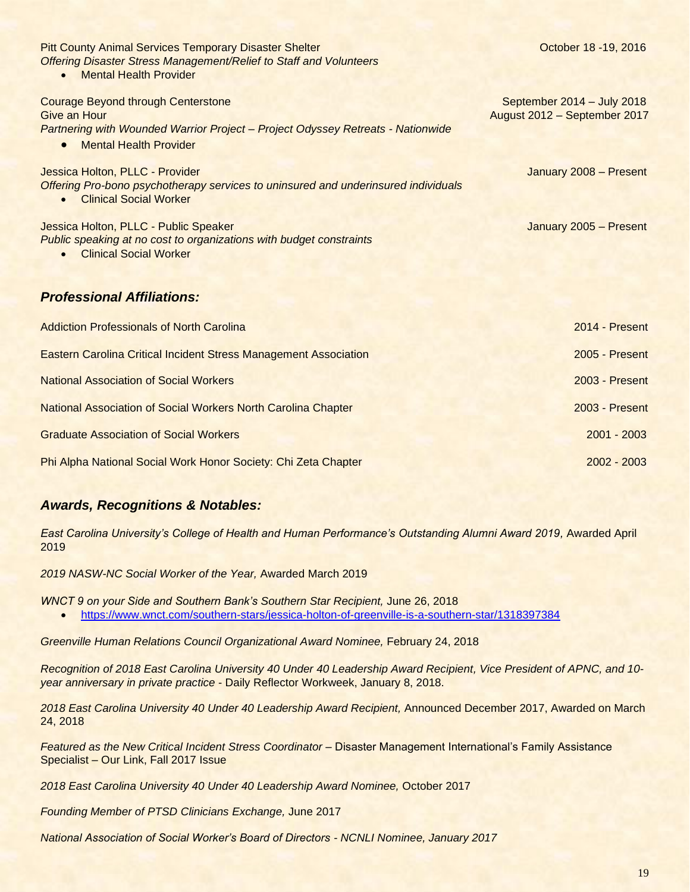| <b>Pitt County Animal Services Temporary Disaster Shelter</b><br><b>Offering Disaster Stress Management/Relief to Staff and Volunteers</b><br><b>Mental Health Provider</b>                | October 18 - 19, 2016                                      |
|--------------------------------------------------------------------------------------------------------------------------------------------------------------------------------------------|------------------------------------------------------------|
| <b>Courage Beyond through Centerstone</b><br>Give an Hour<br>Partnering with Wounded Warrior Project - Project Odyssey Retreats - Nationwide<br><b>Mental Health Provider</b><br>$\bullet$ | September 2014 - July 2018<br>August 2012 - September 2017 |
| Jessica Holton, PLLC - Provider<br>Offering Pro-bono psychotherapy services to uninsured and underinsured individuals<br><b>Clinical Social Worker</b>                                     | January 2008 - Present                                     |
| Jessica Holton, PLLC - Public Speaker<br>Public speaking at no cost to organizations with budget constraints<br><b>Clinical Social Worker</b><br>$\bullet$                                 | January 2005 - Present                                     |
| <b>Professional Affiliations:</b>                                                                                                                                                          |                                                            |
| <b>Addiction Professionals of North Carolina</b>                                                                                                                                           | 2014 - Present                                             |
| <b>Eastern Carolina Critical Incident Stress Management Association</b>                                                                                                                    | 2005 - Present                                             |
| <b>National Association of Social Workers</b>                                                                                                                                              | 2003 - Present                                             |
| <b>National Association of Social Workers North Carolina Chapter</b>                                                                                                                       | 2003 - Present                                             |

Graduate Association of Social Workers 2001 - 2003

Phi Alpha National Social Work Honor Society: Chi Zeta Chapter 2002 - 2003

## *Awards, Recognitions & Notables:*

*East Carolina University's College of Health and Human Performance's Outstanding Alumni Award 2019, Awarded April* 2019

*2019 NASW-NC Social Worker of the Year,* Awarded March 2019

*WNCT 9 on your Side and Southern Bank's Southern Star Recipient,* June 26, 2018

• <https://www.wnct.com/southern-stars/jessica-holton-of-greenville-is-a-southern-star/1318397384>

*Greenville Human Relations Council Organizational Award Nominee,* February 24, 2018

*Recognition of 2018 East Carolina University 40 Under 40 Leadership Award Recipient, Vice President of APNC, and 10 year anniversary in private practice* - Daily Reflector Workweek, January 8, 2018.

*2018 East Carolina University 40 Under 40 Leadership Award Recipient,* Announced December 2017, Awarded on March 24, 2018

*Featured as the New Critical Incident Stress Coordinator –* Disaster Management International's Family Assistance Specialist – Our Link, Fall 2017 Issue

*2018 East Carolina University 40 Under 40 Leadership Award Nominee,* October 2017

*Founding Member of PTSD Clinicians Exchange,* June 2017

*National Association of Social Worker's Board of Directors - NCNLI Nominee, January 2017*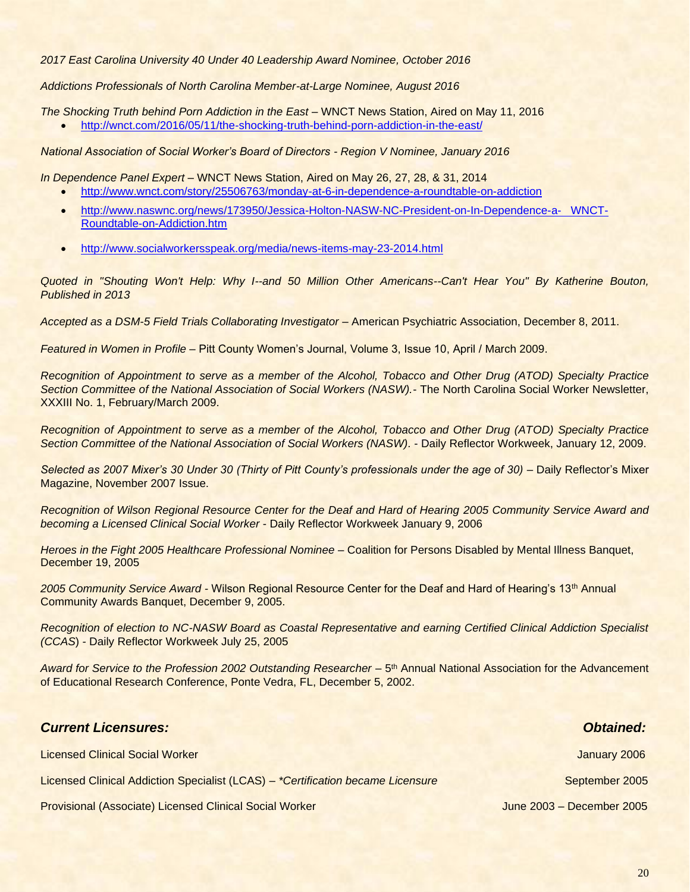*2017 East Carolina University 40 Under 40 Leadership Award Nominee, October 2016*

*Addictions Professionals of North Carolina Member-at-Large Nominee, August 2016*

*The Shocking Truth behind Porn Addiction in the East –* WNCT News Station, Aired on May 11, 2016

• <http://wnct.com/2016/05/11/the-shocking-truth-behind-porn-addiction-in-the-east/>

*National Association of Social Worker's Board of Directors - Region V Nominee, January 2016*

*In Dependence Panel Expert –* WNCT News Station, Aired on May 26, 27, 28, & 31, 2014

- <http://www.wnct.com/story/25506763/monday-at-6-in-dependence-a-roundtable-on-addiction>
- [http://www.naswnc.org/news/173950/Jessica-Holton-NASW-NC-President-on-In-Dependence-a- WNCT-](http://www.naswnc.org/news/173950/Jessica-Holton-NASW-NC-President-on-In-Dependence-a-%20%20%20WNCT-Roundtable-on-Addiction.htm)[Roundtable-on-Addiction.htm](http://www.naswnc.org/news/173950/Jessica-Holton-NASW-NC-President-on-In-Dependence-a-%20%20%20WNCT-Roundtable-on-Addiction.htm)
- [http://www.socialworkersspeak.org/media/news-items-may-23-2014.html](http://www.wnct.com/story/25506763/monday-at-6-in-dependence-a-roundtable-on-addiction)

*Quoted in "Shouting Won't Help: Why I--and 50 Million Other Americans--Can't Hear You" By Katherine Bouton, Published in 2013*

*Accepted as a DSM-5 Field Trials Collaborating Investigator* – American Psychiatric Association, December 8, 2011.

*Featured in Women in Profile –* Pitt County Women's Journal, Volume 3, Issue 10, April / March 2009.

*Recognition of Appointment to serve as a member of the Alcohol, Tobacco and Other Drug (ATOD) Specialty Practice Section Committee of the National Association of Social Workers (NASW).*- The North Carolina Social Worker Newsletter, XXXIII No. 1, February/March 2009.

*Recognition of Appointment to serve as a member of the Alcohol, Tobacco and Other Drug (ATOD) Specialty Practice Section Committee of the National Association of Social Workers (NASW).* - Daily Reflector Workweek, January 12, 2009.

*Selected as 2007 Mixer's 30 Under 30 (Thirty of Pitt County's professionals under the age of 30) –* Daily Reflector's Mixer Magazine, November 2007 Issue.

*Recognition of Wilson Regional Resource Center for the Deaf and Hard of Hearing 2005 Community Service Award and becoming a Licensed Clinical Social Worker* - Daily Reflector Workweek January 9, 2006

*Heroes in the Fight 2005 Healthcare Professional Nominee –* Coalition for Persons Disabled by Mental Illness Banquet, December 19, 2005

*2005 Community Service Award -* Wilson Regional Resource Center for the Deaf and Hard of Hearing's 13th Annual Community Awards Banquet, December 9, 2005.

*Recognition of election to NC-NASW Board as Coastal Representative and earning Certified Clinical Addiction Specialist (CCAS*) *-* Daily Reflector Workweek July 25, 2005

Award for Service to the Profession 2002 Outstanding Researcher – 5<sup>th</sup> Annual National Association for the Advancement of Educational Research Conference, Ponte Vedra, FL, December 5, 2002.

Licensed Clinical Social Worker January 2006

## *Current Licensures: Obtained:*

Licensed Clinical Addiction Specialist (LCAS) *– \*Certification became Licensure* September 2005

Provisional (Associate) Licensed Clinical Social Worker June 2003 – December 2005